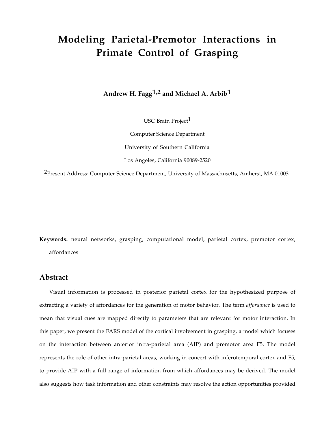# **Modeling Parietal-Premotor Interactions in Primate Control of Grasping**

**Andrew H. Fagg1,2 and Michael A. Arbib1**

USC Brain Project<sup>1</sup>

Computer Science Department University of Southern California Los Angeles, California 90089-2520

2Present Address: Computer Science Department, University of Massachusetts, Amherst, MA 01003.

**Keywords:** neural networks, grasping, computational model, parietal cortex, premotor cortex, affordances

# **Abstract**

Visual information is processed in posterior parietal cortex for the hypothesized purpose of extracting a variety of affordances for the generation of motor behavior. The term *affordance* is used to mean that visual cues are mapped directly to parameters that are relevant for motor interaction. In this paper, we present the FARS model of the cortical involvement in grasping, a model which focuses on the interaction between anterior intra-parietal area (AIP) and premotor area F5. The model represents the role of other intra-parietal areas, working in concert with inferotemporal cortex and F5, to provide AIP with a full range of information from which affordances may be derived. The model also suggests how task information and other constraints may resolve the action opportunities provided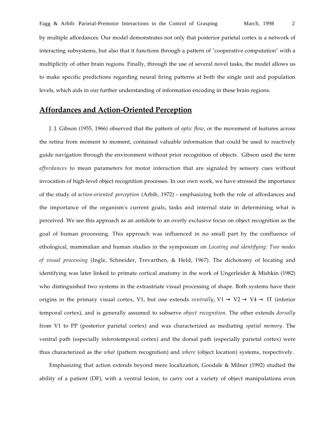by multiple affordances. Our model demonstrates not only that posterior parietal cortex is a network of interacting subsystems, but also that it functions through a pattern of "cooperative computation" with a multiplicity of other brain regions. Finally, through the use of several novel tasks, the model allows us to make specific predictions regarding neural firing patterns at both the single unit and population levels, which aids in our further understanding of information encoding in these brain regions.

# **Affordances and Action-Oriented Perception**

J. J. Gibson (1955, 1966) observed that the pattern of *optic flow*, or the movement of features across the retina from moment to moment, contained valuable information that could be used to reactively guide navigation through the environment without prior recognition of objects. Gibson used the term *affordances* to mean parameters for motor interaction that are signaled by sensory cues without invocation of high-level object recognition processes. In our own work, we have stressed the importance of the study of *action-oriented perception* (Arbib, 1972) - emphasizing both the role of affordances and the importance of the organism's current goals, tasks and internal state in determining what is perceived. We see this approach as an antidote to an overly exclusive focus on object recognition as the goal of human processing. This approach was influenced in no small part by the confluence of ethological, mammalian and human studies in the symposium on *Locating and identifying: Two modes of visual processing* (Ingle, Schneider, Trevarthen, & Held, 1967). The dichotomy of locating and identifying was later linked to primate cortical anatomy in the work of Ungerleider & Mishkin (1982) who distinguished two systems in the extrastriate visual processing of shape. Both systems have their origins in the primary visual cortex, V1, but one extends *ventrally*, V1  $\rightarrow$  V2  $\rightarrow$  V4  $\rightarrow$  IT (inferior temporal cortex), and is generally assumed to subserve *object recognition*. The other extends *dorsally* from V1 to PP (posterior parietal cortex) and was characterized as mediating *spatial memory*. The ventral path (especially inferotemporal cortex) and the dorsal path (especially parietal cortex) were thus characterized as the *what* (pattern recognition) and *where* (object location) systems, respectively.

Emphasizing that action extends beyond mere localization, Goodale & Milner (1992) studied the ability of a patient (DF), with a ventral lesion, to carry out a variety of object manipulations even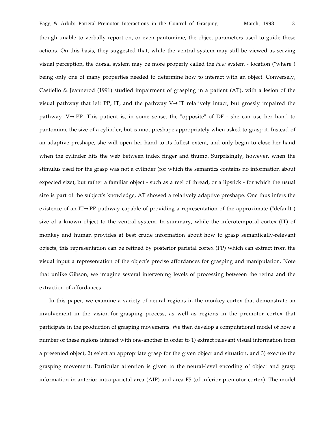though unable to verbally report on, or even pantomime, the object parameters used to guide these actions. On this basis, they suggested that, while the ventral system may still be viewed as serving visual perception, the dorsal system may be more properly called the *how* system - location ("where") being only one of many properties needed to determine how to interact with an object. Conversely, Castiello & Jeannerod (1991) studied impairment of grasping in a patient (AT), with a lesion of the visual pathway that left PP, IT, and the pathway  $V \rightarrow I$  relatively intact, but grossly impaired the pathway  $V \rightarrow PP$ . This patient is, in some sense, the "opposite" of DF - she can use her hand to pantomime the size of a cylinder, but cannot preshape appropriately when asked to grasp it. Instead of an adaptive preshape, she will open her hand to its fullest extent, and only begin to close her hand when the cylinder hits the web between index finger and thumb. Surprisingly, however, when the stimulus used for the grasp was not a cylinder (for which the semantics contains no information about expected size), but rather a familiar object - such as a reel of thread, or a lipstick - for which the usual size is part of the subject's knowledge, AT showed a relatively adaptive preshape. One thus infers the existence of an IT→PP pathway capable of providing a representation of the approximate ("default") size of a known object to the ventral system. In summary, while the inferotemporal cortex (IT) of monkey and human provides at best crude information about how to grasp semantically-relevant objects, this representation can be refined by posterior parietal cortex (PP) which can extract from the visual input a representation of the object's precise affordances for grasping and manipulation. Note that unlike Gibson, we imagine several intervening levels of processing between the retina and the extraction of affordances.

In this paper, we examine a variety of neural regions in the monkey cortex that demonstrate an involvement in the vision-for-grasping process, as well as regions in the premotor cortex that participate in the production of grasping movements. We then develop a computational model of how a number of these regions interact with one-another in order to 1) extract relevant visual information from a presented object, 2) select an appropriate grasp for the given object and situation, and 3) execute the grasping movement. Particular attention is given to the neural-level encoding of object and grasp information in anterior intra-parietal area (AIP) and area F5 (of inferior premotor cortex). The model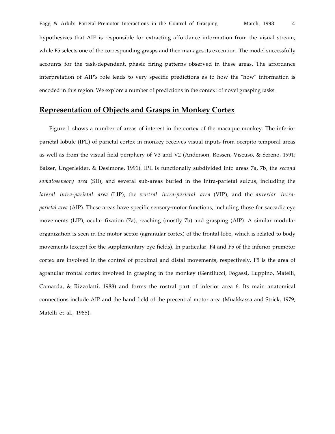hypothesizes that AIP is responsible for extracting affordance information from the visual stream, while F5 selects one of the corresponding grasps and then manages its execution. The model successfully accounts for the task-dependent, phasic firing patterns observed in these areas. The affordance interpretation of AIP's role leads to very specific predictions as to how the "how" information is encoded in this region. We explore a number of predictions in the context of novel grasping tasks.

# **Representation of Objects and Grasps in Monkey Cortex**

Figure 1 shows a number of areas of interest in the cortex of the macaque monkey. The inferior parietal lobule (IPL) of parietal cortex in monkey receives visual inputs from occipito-temporal areas as well as from the visual field periphery of V3 and V2 (Anderson, Rossen, Viscuso, & Sereno, 1991; Baizer, Ungerleider, & Desimone, 1991). IPL is functionally subdivided into areas 7a, 7b, the *second somatosensory area* (SII), and several sub-areas buried in the intra-parietal sulcus, including the *lateral intra-parietal area* (LIP), the *ventral intra-parietal area* (VIP), and the *anterior intraparietal area* (AIP). These areas have specific sensory-motor functions, including those for saccadic eye movements (LIP), ocular fixation (7a), reaching (mostly 7b) and grasping (AIP). A similar modular organization is seen in the motor sector (agranular cortex) of the frontal lobe, which is related to body movements (except for the supplementary eye fields). In particular, F4 and F5 of the inferior premotor cortex are involved in the control of proximal and distal movements, respectively. F5 is the area of agranular frontal cortex involved in grasping in the monkey (Gentilucci, Fogassi, Luppino, Matelli, Camarda, & Rizzolatti, 1988) and forms the rostral part of inferior area 6. Its main anatomical connections include AIP and the hand field of the precentral motor area (Muakkassa and Strick, 1979; Matelli et al., 1985).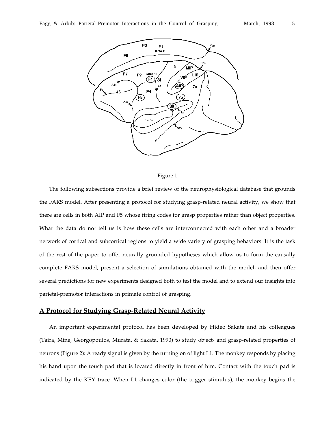

#### Figure 1

The following subsections provide a brief review of the neurophysiological database that grounds the FARS model. After presenting a protocol for studying grasp-related neural activity, we show that there are cells in both AIP and F5 whose firing codes for grasp properties rather than object properties. What the data do not tell us is how these cells are interconnected with each other and a broader network of cortical and subcortical regions to yield a wide variety of grasping behaviors. It is the task of the rest of the paper to offer neurally grounded hypotheses which allow us to form the causally complete FARS model, present a selection of simulations obtained with the model, and then offer several predictions for new experiments designed both to test the model and to extend our insights into parietal-premotor interactions in primate control of grasping.

### **A Protocol for Studying Grasp-Related Neural Activity**

An important experimental protocol has been developed by Hideo Sakata and his colleagues (Taira, Mine, Georgopoulos, Murata, & Sakata, 1990) to study object- and grasp-related properties of neurons (Figure 2): A ready signal is given by the turning on of light L1. The monkey responds by placing his hand upon the touch pad that is located directly in front of him. Contact with the touch pad is indicated by the KEY trace. When L1 changes color (the trigger stimulus), the monkey begins the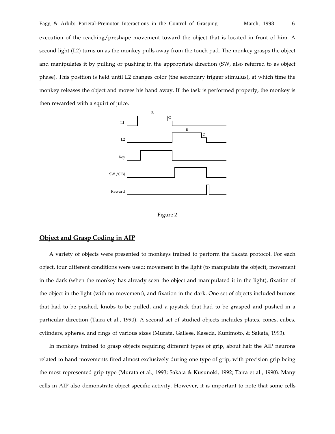execution of the reaching/preshape movement toward the object that is located in front of him. A second light (L2) turns on as the monkey pulls away from the touch pad. The monkey grasps the object and manipulates it by pulling or pushing in the appropriate direction (SW, also referred to as object phase). This position is held until L2 changes color (the secondary trigger stimulus), at which time the monkey releases the object and moves his hand away. If the task is performed properly, the monkey is then rewarded with a squirt of juice.





### **Object and Grasp Coding in AIP**

A variety of objects were presented to monkeys trained to perform the Sakata protocol. For each object, four different conditions were used: movement in the light (to manipulate the object), movement in the dark (when the monkey has already seen the object and manipulated it in the light), fixation of the object in the light (with no movement), and fixation in the dark. One set of objects included buttons that had to be pushed, knobs to be pulled, and a joystick that had to be grasped and pushed in a particular direction (Taira et al., 1990). A second set of studied objects includes plates, cones, cubes, cylinders, spheres, and rings of various sizes (Murata, Gallese, Kaseda, Kunimoto, & Sakata, 1993).

In monkeys trained to grasp objects requiring different types of grip, about half the AIP neurons related to hand movements fired almost exclusively during one type of grip, with precision grip being the most represented grip type (Murata et al., 1993; Sakata & Kusunoki, 1992; Taira et al., 1990). Many cells in AIP also demonstrate object-specific activity. However, it is important to note that some cells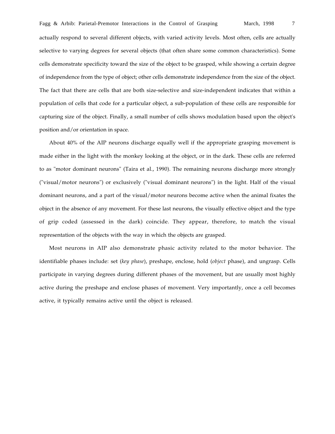actually respond to several different objects, with varied activity levels. Most often, cells are actually selective to varying degrees for several objects (that often share some common characteristics). Some cells demonstrate specificity toward the size of the object to be grasped, while showing a certain degree of independence from the type of object; other cells demonstrate independence from the size of the object. The fact that there are cells that are both size-selective and size-independent indicates that within a population of cells that code for a particular object, a sub-population of these cells are responsible for capturing size of the object. Finally, a small number of cells shows modulation based upon the object's position and/or orientation in space.

About 40% of the AIP neurons discharge equally well if the appropriate grasping movement is made either in the light with the monkey looking at the object, or in the dark. These cells are referred to as "motor dominant neurons" (Taira et al., 1990). The remaining neurons discharge more strongly ("visual/motor neurons") or exclusively ("visual dominant neurons") in the light. Half of the visual dominant neurons, and a part of the visual/motor neurons become active when the animal fixates the object in the absence of any movement. For these last neurons, the visually effective object and the type of grip coded (assessed in the dark) coincide. They appear, therefore, to match the visual representation of the objects with the way in which the objects are grasped.

Most neurons in AIP also demonstrate phasic activity related to the motor behavior. The identifiable phases include: set (*key phase*), preshape, enclose, hold (*object* phase), and ungrasp. Cells participate in varying degrees during different phases of the movement, but are usually most highly active during the preshape and enclose phases of movement. Very importantly, once a cell becomes active, it typically remains active until the object is released.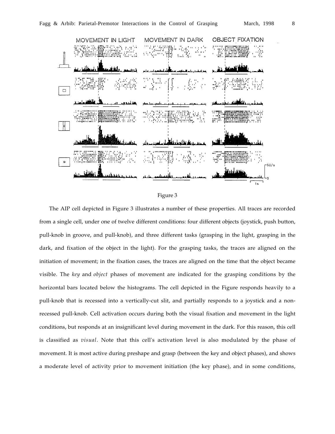

#### Figure 3

The AIP cell depicted in Figure 3 illustrates a number of these properties. All traces are recorded from a single cell, under one of twelve different conditions: four different objects (joystick, push button, pull-knob in groove, and pull-knob), and three different tasks (grasping in the light, grasping in the dark, and fixation of the object in the light). For the grasping tasks, the traces are aligned on the initiation of movement; in the fixation cases, the traces are aligned on the time that the object became visible. The *key* and *object* phases of movement are indicated for the grasping conditions by the horizontal bars located below the histograms. The cell depicted in the Figure responds heavily to a pull-knob that is recessed into a vertically-cut slit, and partially responds to a joystick and a nonrecessed pull-knob. Cell activation occurs during both the visual fixation and movement in the light conditions, but responds at an insignificant level during movement in the dark. For this reason, this cell is classified as *visual*. Note that this cell's activation level is also modulated by the phase of movement. It is most active during preshape and grasp (between the key and object phases), and shows a moderate level of activity prior to movement initiation (the key phase), and in some conditions,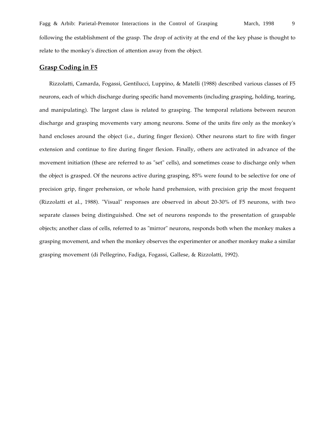following the establishment of the grasp. The drop of activity at the end of the key phase is thought to relate to the monkey's direction of attention away from the object.

# **Grasp Coding in F5**

Rizzolatti, Camarda, Fogassi, Gentilucci, Luppino, & Matelli (1988) described various classes of F5 neurons, each of which discharge during specific hand movements (including grasping, holding, tearing, and manipulating). The largest class is related to grasping. The temporal relations between neuron discharge and grasping movements vary among neurons. Some of the units fire only as the monkey's hand encloses around the object (i.e., during finger flexion). Other neurons start to fire with finger extension and continue to fire during finger flexion. Finally, others are activated in advance of the movement initiation (these are referred to as "set" cells), and sometimes cease to discharge only when the object is grasped. Of the neurons active during grasping, 85% were found to be selective for one of precision grip, finger prehension, or whole hand prehension, with precision grip the most frequent (Rizzolatti et al., 1988). "Visual" responses are observed in about 20-30% of F5 neurons, with two separate classes being distinguished. One set of neurons responds to the presentation of graspable objects; another class of cells, referred to as "mirror" neurons, responds both when the monkey makes a grasping movement, and when the monkey observes the experimenter or another monkey make a similar grasping movement (di Pellegrino, Fadiga, Fogassi, Gallese, & Rizzolatti, 1992).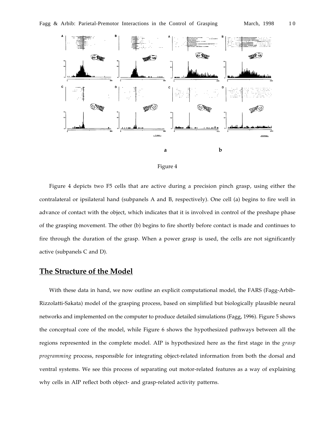



Figure 4 depicts two F5 cells that are active during a precision pinch grasp, using either the contralateral or ipsilateral hand (subpanels A and B, respectively). One cell (a) begins to fire well in advance of contact with the object, which indicates that it is involved in control of the preshape phase of the grasping movement. The other (b) begins to fire shortly before contact is made and continues to fire through the duration of the grasp. When a power grasp is used, the cells are not significantly active (subpanels C and D).

# **The Structure of the Model**

With these data in hand, we now outline an explicit computational model, the FARS (Fagg-Arbib-Rizzolatti-Sakata) model of the grasping process, based on simplified but biologically plausible neural networks and implemented on the computer to produce detailed simulations (Fagg, 1996). Figure 5 shows the conceptual core of the model, while Figure 6 shows the hypothesized pathways between all the regions represented in the complete model. AIP is hypothesized here as the first stage in the *grasp programming* process, responsible for integrating object-related information from both the dorsal and ventral systems. We see this process of separating out motor-related features as a way of explaining why cells in AIP reflect both object- and grasp-related activity patterns.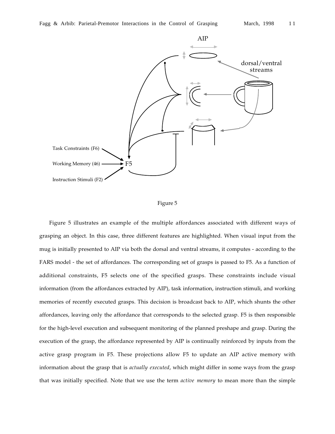

#### Figure 5

Figure 5 illustrates an example of the multiple affordances associated with different ways of grasping an object. In this case, three different features are highlighted. When visual input from the mug is initially presented to AIP via both the dorsal and ventral streams, it computes - according to the FARS model - the set of affordances. The corresponding set of grasps is passed to F5. As a function of additional constraints, F5 selects one of the specified grasps. These constraints include visual information (from the affordances extracted by AIP), task information, instruction stimuli, and working memories of recently executed grasps. This decision is broadcast back to AIP, which shunts the other affordances, leaving only the affordance that corresponds to the selected grasp. F5 is then responsible for the high-level execution and subsequent monitoring of the planned preshape and grasp. During the execution of the grasp, the affordance represented by AIP is continually reinforced by inputs from the active grasp program in F5. These projections allow F5 to update an AIP active memory with information about the grasp that is *actually executed*, which might differ in some ways from the grasp that was initially specified. Note that we use the term *active memory* to mean more than the simple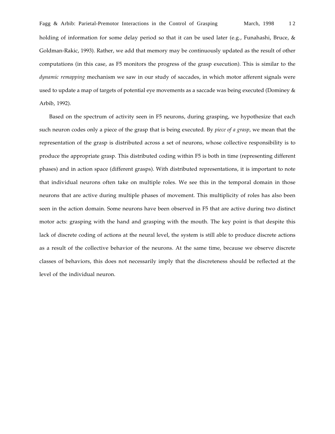holding of information for some delay period so that it can be used later (e.g., Funahashi, Bruce, & Goldman-Rakic, 1993). Rather, we add that memory may be continuously updated as the result of other computations (in this case, as F5 monitors the progress of the grasp execution). This is similar to the *dynamic remapping* mechanism we saw in our study of saccades, in which motor afferent signals were used to update a map of targets of potential eye movements as a saccade was being executed (Dominey & Arbib, 1992).

Based on the spectrum of activity seen in F5 neurons, during grasping, we hypothesize that each such neuron codes only a piece of the grasp that is being executed. By *piece of a grasp*, we mean that the representation of the grasp is distributed across a set of neurons, whose collective responsibility is to produce the appropriate grasp. This distributed coding within F5 is both in time (representing different phases) and in action space (different grasps). With distributed representations, it is important to note that individual neurons often take on multiple roles. We see this in the temporal domain in those neurons that are active during multiple phases of movement. This multiplicity of roles has also been seen in the action domain. Some neurons have been observed in F5 that are active during two distinct motor acts: grasping with the hand and grasping with the mouth. The key point is that despite this lack of discrete coding of actions at the neural level, the system is still able to produce discrete actions as a result of the collective behavior of the neurons. At the same time, because we observe discrete classes of behaviors, this does not necessarily imply that the discreteness should be reflected at the level of the individual neuron.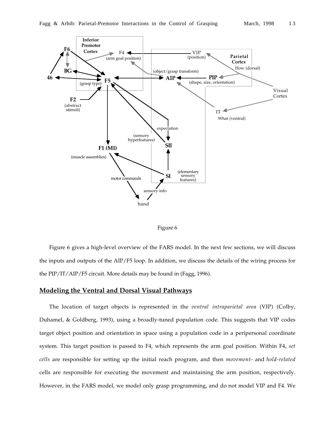

#### Figure 6

Figure 6 gives a high-level overview of the FARS model. In the next few sections, we will discuss the inputs and outputs of the AIP/F5 loop. In addition, we discuss the details of the wiring process for the PIP/IT/AIP/F5 circuit. More details may be found in (Fagg, 1996).

#### **Modeling the Ventral and Dorsal Visual Pathways**

The location of target objects is represented in the *ventral intraparietal area* (VIP) (Colby, Duhamel, & Goldberg, 1993), using a broadly-tuned population code. This suggests that VIP codes target object position and orientation in space using a population code in a peripersonal coordinate system. This target position is passed to F4, which represents the arm goal position. Within F4, *set cells* are responsible for setting up the initial reach program, and then *movement-* and *hold-related* cells are responsible for executing the movement and maintaining the arm position, respectively. However, in the FARS model, we model only grasp programming, and do not model VIP and F4. We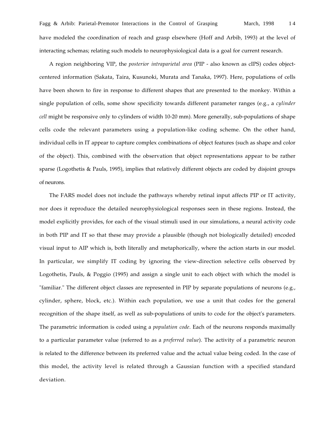A region neighboring VIP, the *posterior intraparietal area* (PIP - also known as cIPS) codes objectcentered information (Sakata, Taira, Kusunoki, Murata and Tanaka, 1997). Here, populations of cells have been shown to fire in response to different shapes that are presented to the monkey. Within a single population of cells, some show specificity towards different parameter ranges (e.g., a *cylinder cell* might be responsive only to cylinders of width 10-20 mm). More generally, sub-populations of shape cells code the relevant parameters using a population-like coding scheme. On the other hand, individual cells in IT appear to capture complex combinations of object features (such as shape and color of the object). This, combined with the observation that object representations appear to be rather sparse (Logothetis & Pauls, 1995), implies that relatively different objects are coded by disjoint groups of neurons.

The FARS model does not include the pathways whereby retinal input affects PIP or IT activity, nor does it reproduce the detailed neurophysiological responses seen in these regions. Instead, the model explicitly provides, for each of the visual stimuli used in our simulations, a neural activity code in both PIP and IT so that these may provide a plausible (though not biologically detailed) encoded visual input to AIP which is, both literally and metaphorically, where the action starts in our model. In particular, we simplify IT coding by ignoring the view-direction selective cells observed by Logothetis, Pauls, & Poggio (1995) and assign a single unit to each object with which the model is "familiar." The different object classes are represented in PIP by separate populations of neurons (e.g., cylinder, sphere, block, etc.). Within each population, we use a unit that codes for the general recognition of the shape itself, as well as sub-populations of units to code for the object's parameters. The parametric information is coded using a *population code*. Each of the neurons responds maximally to a particular parameter value (referred to as a *preferred value*). The activity of a parametric neuron is related to the difference between its preferred value and the actual value being coded. In the case of this model, the activity level is related through a Gaussian function with a specified standard deviation.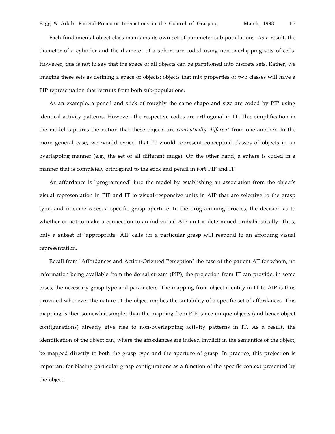Each fundamental object class maintains its own set of parameter sub-populations. As a result, the diameter of a cylinder and the diameter of a sphere are coded using non-overlapping sets of cells. However, this is not to say that the space of all objects can be partitioned into discrete sets. Rather, we imagine these sets as defining a space of objects; objects that mix properties of two classes will have a PIP representation that recruits from both sub-populations.

As an example, a pencil and stick of roughly the same shape and size are coded by PIP using identical activity patterns. However, the respective codes are orthogonal in IT. This simplification in the model captures the notion that these objects are *conceptually different* from one another. In the more general case, we would expect that IT would represent conceptual classes of objects in an overlapping manner (e.g., the set of all different mugs). On the other hand, a sphere is coded in a manner that is completely orthogonal to the stick and pencil in *both* PIP and IT.

An affordance is "programmed" into the model by establishing an association from the object's visual representation in PIP and IT to visual-responsive units in AIP that are selective to the grasp type, and in some cases, a specific grasp aperture. In the programming process, the decision as to whether or not to make a connection to an individual AIP unit is determined probabilistically. Thus, only a subset of "appropriate" AIP cells for a particular grasp will respond to an affording visual representation.

Recall from "Affordances and Action-Oriented Perception" the case of the patient AT for whom, no information being available from the dorsal stream (PIP), the projection from IT can provide, in some cases, the necessary grasp type and parameters. The mapping from object identity in IT to AIP is thus provided whenever the nature of the object implies the suitability of a specific set of affordances. This mapping is then somewhat simpler than the mapping from PIP, since unique objects (and hence object configurations) already give rise to non-overlapping activity patterns in IT. As a result, the identification of the object can, where the affordances are indeed implicit in the semantics of the object, be mapped directly to both the grasp type and the aperture of grasp. In practice, this projection is important for biasing particular grasp configurations as a function of the specific context presented by the object.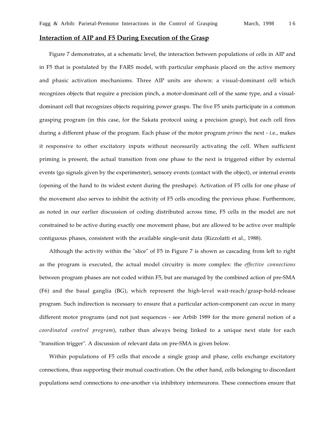#### **Interaction of AIP and F5 During Execution of the Grasp**

Figure 7 demonstrates, at a schematic level, the interaction between populations of cells in AIP and in F5 that is postulated by the FARS model, with particular emphasis placed on the active memory and phasic activation mechanisms. Three AIP units are shown: a visual-dominant cell which recognizes objects that require a precision pinch, a motor-dominant cell of the same type, and a visualdominant cell that recognizes objects requiring power grasps. The five F5 units participate in a common grasping program (in this case, for the Sakata protocol using a precision grasp), but each cell fires during a different phase of the program. Each phase of the motor program *primes* the next - i.e., makes it responsive to other excitatory inputs without necessarily activating the cell. When sufficient priming is present, the actual transition from one phase to the next is triggered either by external events (go signals given by the experimenter), sensory events (contact with the object), or internal events (opening of the hand to its widest extent during the preshape). Activation of F5 cells for one phase of the movement also serves to inhibit the activity of F5 cells encoding the previous phase. Furthermore, as noted in our earlier discussion of coding distributed across time, F5 cells in the model are not constrained to be active during exactly one movement phase, but are allowed to be active over multiple contiguous phases, consistent with the available single-unit data (Rizzolatti et al., 1988).

Although the activity within the "slice" of F5 in Figure 7 is shown as cascading from left to right as the program is executed, the actual model circuitry is more complex: the *effective connections* between program phases are not coded within F5, but are managed by the combined action of pre-SMA (F6) and the basal ganglia (BG), which represent the high-level wait-reach/grasp-hold-release program. Such indirection is necessary to ensure that a particular action-component can occur in many different motor programs (and not just sequences - see Arbib 1989 for the more general notion of a *coordinated control program*), rather than always being linked to a unique next state for each "transition trigger". A discussion of relevant data on pre-SMA is given below.

Within populations of F5 cells that encode a single grasp and phase, cells exchange excitatory connections, thus supporting their mutual coactivation. On the other hand, cells belonging to discordant populations send connections to one-another via inhibitory interneurons. These connections ensure that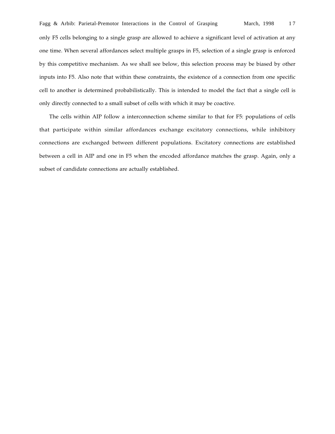only F5 cells belonging to a single grasp are allowed to achieve a significant level of activation at any one time. When several affordances select multiple grasps in F5, selection of a single grasp is enforced by this competitive mechanism. As we shall see below, this selection process may be biased by other inputs into F5. Also note that within these constraints, the existence of a connection from one specific cell to another is determined probabilistically. This is intended to model the fact that a single cell is only directly connected to a small subset of cells with which it may be coactive.

The cells within AIP follow a interconnection scheme similar to that for F5: populations of cells that participate within similar affordances exchange excitatory connections, while inhibitory connections are exchanged between different populations. Excitatory connections are established between a cell in AIP and one in F5 when the encoded affordance matches the grasp. Again, only a subset of candidate connections are actually established.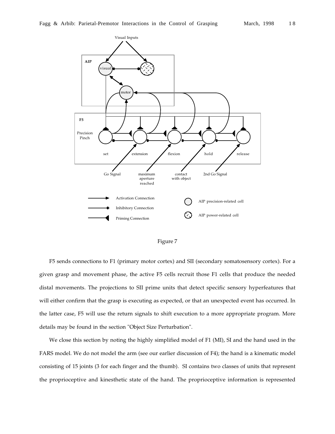



F5 sends connections to F1 (primary motor cortex) and SII (secondary somatosensory cortex). For a given grasp and movement phase, the active F5 cells recruit those F1 cells that produce the needed distal movements. The projections to SII prime units that detect specific sensory hyperfeatures that will either confirm that the grasp is executing as expected, or that an unexpected event has occurred. In the latter case, F5 will use the return signals to shift execution to a more appropriate program. More details may be found in the section "Object Size Perturbation".

We close this section by noting the highly simplified model of F1 (MI), SI and the hand used in the FARS model. We do not model the arm (see our earlier discussion of F4); the hand is a kinematic model consisting of 15 joints (3 for each finger and the thumb). SI contains two classes of units that represent the proprioceptive and kinesthetic state of the hand. The proprioceptive information is represented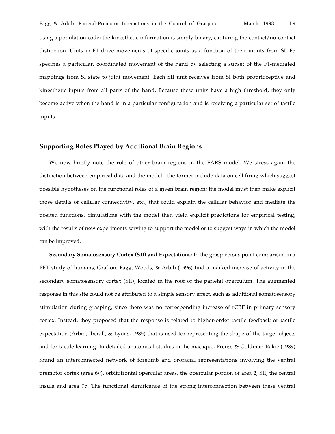using a population code; the kinesthetic information is simply binary, capturing the contact/no-contact distinction. Units in F1 drive movements of specific joints as a function of their inputs from SI. F5 specifies a particular, coordinated movement of the hand by selecting a subset of the F1-mediated mappings from SI state to joint movement. Each SII unit receives from SI both proprioceptive and kinesthetic inputs from all parts of the hand. Because these units have a high threshold, they only become active when the hand is in a particular configuration and is receiving a particular set of tactile inputs.

### **Supporting Roles Played by Additional Brain Regions**

We now briefly note the role of other brain regions in the FARS model. We stress again the distinction between empirical data and the model - the former include data on cell firing which suggest possible hypotheses on the functional roles of a given brain region; the model must then make explicit those details of cellular connectivity, etc., that could explain the cellular behavior and mediate the posited functions. Simulations with the model then yield explicit predictions for empirical testing, with the results of new experiments serving to support the model or to suggest ways in which the model can be improved.

**Secondary Somatosensory Cortex (SII) and Expectations:** In the grasp versus point comparison in a PET study of humans, Grafton, Fagg, Woods, & Arbib (1996) find a marked increase of activity in the secondary somatosensory cortex (SII), located in the roof of the parietal operculum. The augmented response in this site could not be attributed to a simple sensory effect, such as additional somatosensory stimulation during grasping, since there was no corresponding increase of rCBF in primary sensory cortex. Instead, they proposed that the response is related to higher-order tactile feedback or tactile expectation (Arbib, Iberall, & Lyons, 1985) that is used for representing the shape of the target objects and for tactile learning. In detailed anatomical studies in the macaque, Preuss & Goldman-Rakic (1989) found an interconnected network of forelimb and orofacial representations involving the ventral premotor cortex (area 6v), orbitofrontal opercular areas, the opercular portion of area 2, SII, the central insula and area 7b. The functional significance of the strong interconnection between these ventral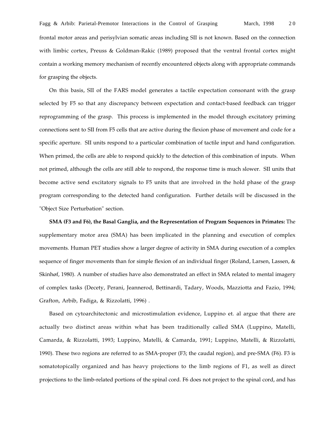frontal motor areas and perisylvian somatic areas including SII is not known. Based on the connection with limbic cortex, Preuss & Goldman-Rakic (1989) proposed that the ventral frontal cortex might contain a working memory mechanism of recently encountered objects along with appropriate commands for grasping the objects.

On this basis, SII of the FARS model generates a tactile expectation consonant with the grasp selected by F5 so that any discrepancy between expectation and contact-based feedback can trigger reprogramming of the grasp. This process is implemented in the model through excitatory priming connections sent to SII from F5 cells that are active during the flexion phase of movement and code for a specific aperture. SII units respond to a particular combination of tactile input and hand configuration. When primed, the cells are able to respond quickly to the detection of this combination of inputs. When not primed, although the cells are still able to respond, the response time is much slower. SII units that become active send excitatory signals to F5 units that are involved in the hold phase of the grasp program corresponding to the detected hand configuration. Further details will be discussed in the "Object Size Perturbation" section.

**SMA (F3 and F6), the Basal Ganglia, and the Representation of Program Sequences in Primates:** The supplementary motor area (SMA) has been implicated in the planning and execution of complex movements. Human PET studies show a larger degree of activity in SMA during execution of a complex sequence of finger movements than for simple flexion of an individual finger (Roland, Larsen, Lassen, & Skinhøf, 1980). A number of studies have also demonstrated an effect in SMA related to mental imagery of complex tasks (Decety, Perani, Jeannerod, Bettinardi, Tadary, Woods, Mazziotta and Fazio, 1994; Grafton, Arbib, Fadiga, & Rizzolatti, 1996) .

Based on cytoarchitectonic and microstimulation evidence, Luppino et. al argue that there are actually two distinct areas within what has been traditionally called SMA (Luppino, Matelli, Camarda, & Rizzolatti, 1993; Luppino, Matelli, & Camarda, 1991; Luppino, Matelli, & Rizzolatti, 1990). These two regions are referred to as SMA-proper (F3; the caudal region), and pre-SMA (F6). F3 is somatotopically organized and has heavy projections to the limb regions of F1, as well as direct projections to the limb-related portions of the spinal cord. F6 does not project to the spinal cord, and has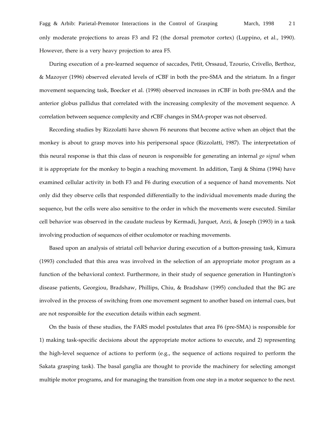During execution of a pre-learned sequence of saccades, Petit, Orssaud, Tzourio, Crivello, Berthoz, & Mazoyer (1996) observed elevated levels of rCBF in both the pre-SMA and the striatum. In a finger movement sequencing task, Boecker et al. (1998) observed increases in rCBF in both pre-SMA and the anterior globus pallidus that correlated with the increasing complexity of the movement sequence. A correlation between sequence complexity and rCBF changes in SMA-proper was not observed.

Recording studies by Rizzolatti have shown F6 neurons that become active when an object that the monkey is about to grasp moves into his peripersonal space (Rizzolatti, 1987). The interpretation of this neural response is that this class of neuron is responsible for generating an internal *go signal* when it is appropriate for the monkey to begin a reaching movement. In addition, Tanji & Shima (1994) have examined cellular activity in both F3 and F6 during execution of a sequence of hand movements. Not only did they observe cells that responded differentially to the individual movements made during the sequence, but the cells were also sensitive to the order in which the movements were executed. Similar cell behavior was observed in the caudate nucleus by Kermadi, Jurquet, Arzi, & Joseph (1993) in a task involving production of sequences of either oculomotor or reaching movements.

Based upon an analysis of striatal cell behavior during execution of a button-pressing task, Kimura (1993) concluded that this area was involved in the selection of an appropriate motor program as a function of the behavioral context. Furthermore, in their study of sequence generation in Huntington's disease patients, Georgiou, Bradshaw, Phillips, Chiu, & Bradshaw (1995) concluded that the BG are involved in the process of switching from one movement segment to another based on internal cues, but are not responsible for the execution details within each segment.

On the basis of these studies, the FARS model postulates that area F6 (pre-SMA) is responsible for 1) making task-specific decisions about the appropriate motor actions to execute, and 2) representing the high-level sequence of actions to perform (e.g., the sequence of actions required to perform the Sakata grasping task). The basal ganglia are thought to provide the machinery for selecting amongst multiple motor programs, and for managing the transition from one step in a motor sequence to the next.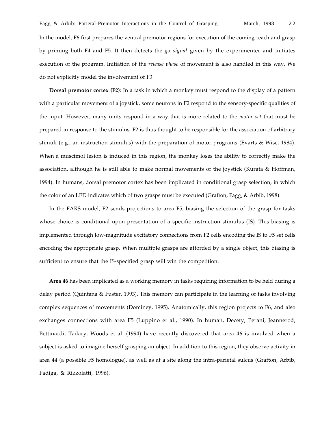In the model, F6 first prepares the ventral premotor regions for execution of the coming reach and grasp by priming both F4 and F5. It then detects the *go signal* given by the experimenter and initiates execution of the program. Initiation of the *release phase* of movement is also handled in this way. We do not explicitly model the involvement of F3.

**Dorsal premotor cortex (F2)**: In a task in which a monkey must respond to the display of a pattern with a particular movement of a joystick, some neurons in F2 respond to the sensory-specific qualities of the input. However, many units respond in a way that is more related to the *motor set* that must be prepared in response to the stimulus. F2 is thus thought to be responsible for the association of arbitrary stimuli (e.g., an instruction stimulus) with the preparation of motor programs (Evarts & Wise, 1984). When a muscimol lesion is induced in this region, the monkey loses the ability to correctly make the association, although he is still able to make normal movements of the joystick (Kurata & Hoffman, 1994). In humans, dorsal premotor cortex has been implicated in conditional grasp selection, in which the color of an LED indicates which of two grasps must be executed (Grafton, Fagg, & Arbib, 1998).

In the FARS model, F2 sends projections to area F5, biasing the selection of the grasp for tasks whose choice is conditional upon presentation of a specific instruction stimulus (IS). This biasing is implemented through low-magnitude excitatory connections from F2 cells encoding the IS to F5 set cells encoding the appropriate grasp. When multiple grasps are afforded by a single object, this biasing is sufficient to ensure that the IS-specified grasp will win the competition.

**Area 46** has been implicated as a working memory in tasks requiring information to be held during a delay period (Quintana & Fuster, 1993). This memory can participate in the learning of tasks involving complex sequences of movements (Dominey, 1995). Anatomically, this region projects to F6, and also exchanges connections with area F5 (Luppino et al., 1990). In human, Decety, Perani, Jeannerod, Bettinardi, Tadary, Woods et al. (1994) have recently discovered that area 46 is involved when a subject is asked to imagine herself grasping an object. In addition to this region, they observe activity in area 44 (a possible F5 homologue), as well as at a site along the intra-parietal sulcus (Grafton, Arbib, Fadiga, & Rizzolatti, 1996).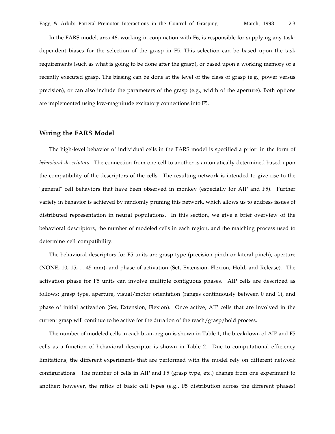In the FARS model, area 46, working in conjunction with F6, is responsible for supplying any taskdependent biases for the selection of the grasp in F5. This selection can be based upon the task requirements (such as what is going to be done after the grasp), or based upon a working memory of a recently executed grasp. The biasing can be done at the level of the class of grasp (e.g., power versus precision), or can also include the parameters of the grasp (e.g., width of the aperture). Both options are implemented using low-magnitude excitatory connections into F5.

#### **Wiring the FARS Model**

The high-level behavior of individual cells in the FARS model is specified a priori in the form of *behavioral descriptors*. The connection from one cell to another is automatically determined based upon the compatibility of the descriptors of the cells. The resulting network is intended to give rise to the "general" cell behaviors that have been observed in monkey (especially for AIP and F5). Further variety in behavior is achieved by randomly pruning this network, which allows us to address issues of distributed representation in neural populations. In this section, we give a brief overview of the behavioral descriptors, the number of modeled cells in each region, and the matching process used to determine cell compatibility.

The behavioral descriptors for F5 units are grasp type (precision pinch or lateral pinch), aperture (NONE, 10, 15, ... 45 mm), and phase of activation (Set, Extension, Flexion, Hold, and Release). The activation phase for F5 units can involve multiple contiguous phases. AIP cells are described as follows: grasp type, aperture, visual/motor orientation (ranges continuously between 0 and 1), and phase of initial activation (Set, Extension, Flexion). Once active, AIP cells that are involved in the current grasp will continue to be active for the duration of the reach/grasp/hold process.

The number of modeled cells in each brain region is shown in Table 1; the breakdown of AIP and F5 cells as a function of behavioral descriptor is shown in Table 2. Due to computational efficiency limitations, the different experiments that are performed with the model rely on different network configurations. The number of cells in AIP and F5 (grasp type, etc.) change from one experiment to another; however, the ratios of basic cell types (e.g., F5 distribution across the different phases)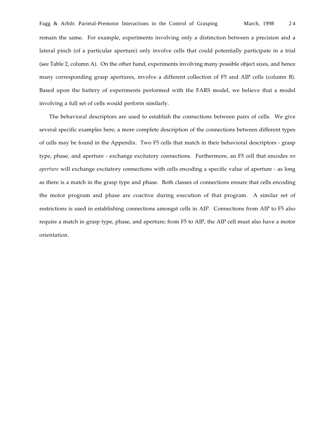remain the same. For example, experiments involving only a distinction between a precision and a lateral pinch (of a particular aperture) only involve cells that could potentially participate in a trial (see Table 2, column A). On the other hand, experiments involving many possible object sizes, and hence many corresponding grasp apertures, involve a different collection of F5 and AIP cells (column B). Based upon the battery of experiments performed with the FARS model, we believe that a model involving a full set of cells would perform similarly.

The behavioral descriptors are used to establish the connections between pairs of cells. We give several specific examples here; a more complete description of the connections between different types of cells may be found in the Appendix. Two F5 cells that match in their behavioral descriptors - grasp type, phase, and aperture - exchange excitatory connections. Furthermore, an F5 cell that encodes *no aperture* will exchange excitatory connections with cells encoding a specific value of aperture - as long as there is a match in the grasp type and phase. Both classes of connections ensure that cells encoding the motor program and phase are coactive during execution of that program. A similar set of restrictions is used in establishing connections amongst cells in AIP. Connections from AIP to F5 also require a match in grasp type, phase, and aperture; from F5 to AIP, the AIP cell must also have a motor orientation.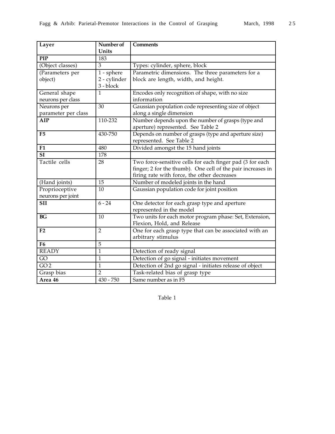| Layer               | Number of      | <b>Comments</b>                                             |
|---------------------|----------------|-------------------------------------------------------------|
|                     | Units          |                                                             |
| <b>PIP</b>          | 183            |                                                             |
| (Object classes)    | 3              | Types: cylinder, sphere, block                              |
| (Parameters per     | 1 - sphere     | Parametric dimensions. The three parameters for a           |
| object)             | 2 - cylinder   | block are length, width, and height.                        |
|                     | $3 - block$    |                                                             |
| General shape       | 1              | Encodes only recognition of shape, with no size             |
| neurons per class   |                | information                                                 |
| Neurons per         | 30             | Gaussian population code representing size of object        |
| parameter per class |                | along a single dimension                                    |
| <b>AIP</b>          | 110-232        | Number depends upon the number of grasps (type and          |
|                     |                | aperture) represented. See Table 2                          |
| F <sub>5</sub>      | 430-750        | Depends on number of grasps (type and aperture size)        |
|                     |                | represented. See Table 2                                    |
| F1                  | 480            | Divided amongst the 15 hand joints                          |
| <b>SI</b>           | 178            |                                                             |
| Tactile cells       | 28             | Two force-sensitive cells for each finger pad (3 for each   |
|                     |                | finger; 2 for the thumb). One cell of the pair increases in |
|                     |                | firing rate with force, the other decreases                 |
| (Hand joints)       | 15             | Number of modeled joints in the hand                        |
| Proprioceptive      | 10             | Gaussian population code for joint position                 |
| neurons per joint   |                |                                                             |
| <b>SII</b>          | $6 - 24$       | One detector for each grasp type and aperture               |
|                     |                | represented in the model                                    |
| <b>BG</b>           | 10             | Two units for each motor program phase: Set, Extension,     |
|                     |                | Flexion, Hold, and Release                                  |
| F <sub>2</sub>      | $\overline{2}$ | One for each grasp type that can be associated with an      |
|                     |                | arbitrary stimulus                                          |
| F <sub>6</sub>      | 5              |                                                             |
| <b>READY</b>        | $\mathbf{1}$   | Detection of ready signal                                   |
| GO                  | $\mathbf{1}$   | Detection of go signal - initiates movement                 |
| $\overline{GO2}$    | $\overline{1}$ | Detection of 2nd go signal - initiates release of object    |
| Grasp bias          | $\overline{2}$ | Task-related bias of grasp type                             |
| Area 46             | $430 - 750$    | Same number as in F5                                        |

Table 1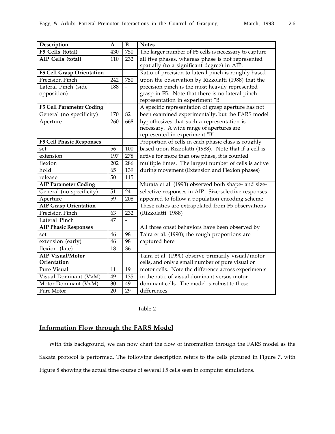| Description                                                                                                    | $\mathbf A$      | $\, {\bf B}$ | <b>Notes</b>                                          |
|----------------------------------------------------------------------------------------------------------------|------------------|--------------|-------------------------------------------------------|
| F5 Cells (total)                                                                                               | 430              | 750          | The larger number of F5 cells is necessary to capture |
| AIP Cells (total)                                                                                              | 110              | 232          | all five phases, whereas phase is not represented     |
|                                                                                                                |                  |              | spatially (to a significant degree) in AIP.           |
| F5 Cell Grasp Orientation                                                                                      |                  |              | Ratio of precision to lateral pinch is roughly based  |
| <b>Precision Pinch</b>                                                                                         | $\overline{242}$ | 750          | upon the observation by Rizzolatti (1988) that the    |
| Lateral Pinch (side                                                                                            | 188              |              | precision pinch is the most heavily represented       |
| opposition)                                                                                                    |                  |              | grasp in F5. Note that there is no lateral pinch      |
|                                                                                                                |                  |              | representation in experiment "B"                      |
| <b>F5 Cell Parameter Coding</b>                                                                                |                  |              | A specific representation of grasp aperture has not   |
| General (no specificity)                                                                                       | 170              | 82           | been examined experimentally, but the FARS model      |
| Aperture                                                                                                       | 260              | 668          | hypothesizes that such a representation is            |
|                                                                                                                |                  |              | necessary. A wide range of apertures are              |
|                                                                                                                |                  |              | represented in experiment "B"                         |
| <b>F5 Cell Phasic Responses</b>                                                                                |                  |              | Proportion of cells in each phasic class is roughly   |
| set                                                                                                            | $\overline{56}$  | 100          | based upon Rizzolatti (1988). Note that if a cell is  |
| extension                                                                                                      | 197              | 278          | active for more than one phase, it is counted         |
| flexion                                                                                                        | 202              | 286          | multiple times. The largest number of cells is active |
| hold                                                                                                           | 65               | 139          | during movement (Extension and Flexion phases)        |
| release                                                                                                        | 50               | 115          |                                                       |
| <b>AIP Parameter Coding</b>                                                                                    |                  |              | Murata et al. (1993) observed both shape- and size-   |
| General (no specificity)                                                                                       | 51               | 24           | selective responses in AIP. Size-selective responses  |
| Aperture                                                                                                       | 59               | 208          | appeared to follow a population-encoding scheme       |
| <b>AIP Grasp Orientation</b>                                                                                   |                  |              | These ratios are extrapolated from F5 observations    |
| <b>Precision Pinch</b>                                                                                         | 63               | 232          | (Rizzolatti 1988)                                     |
| Lateral Pinch                                                                                                  | 47               |              |                                                       |
| <b>AIP Phasic Responses</b>                                                                                    |                  |              | All three onset behaviors have been observed by       |
| set                                                                                                            | 46               | 98           | Taira et al. (1990); the rough proportions are        |
| extension (early)                                                                                              | 46               | 98           | captured here                                         |
| flexion (late)                                                                                                 | 18               | 36           |                                                       |
| <b>AIP Visual/Motor</b>                                                                                        |                  |              | Taira et al. (1990) observe primarily visual/motor    |
| Orientation                                                                                                    |                  |              | cells, and only a small number of pure visual or      |
| Pure Visual                                                                                                    | 11               | 19           | motor cells. Note the difference across experiments   |
| Visual Dominant (V>M)                                                                                          | 49               | 135          | in the ratio of visual dominant versus motor          |
| Motor Dominant (V <m)< td=""><td>30</td><td>49</td><td>dominant cells. The model is robust to these</td></m)<> | 30               | 49           | dominant cells. The model is robust to these          |
| Pure Motor                                                                                                     | 20               | 29           | differences                                           |

### Table 2

# **Information Flow through the FARS Model**

With this background, we can now chart the flow of information through the FARS model as the Sakata protocol is performed. The following description refers to the cells pictured in Figure 7, with Figure 8 showing the actual time course of several F5 cells seen in computer simulations.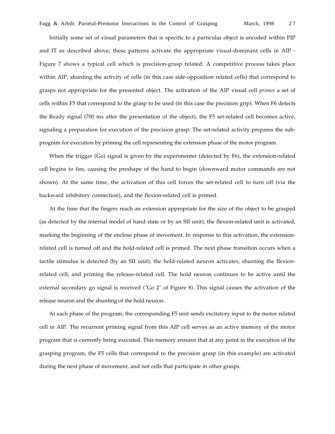Initially some set of visual parameters that is specific to a particular object is encoded within PIP and IT as described above; these patterns activate the appropriate visual-dominant cells in AIP - Figure 7 shows a typical cell which is precision-grasp related. A competitive process takes place within AIP, shunting the activity of cells (in this case side-opposition related cells) that correspond to grasps not appropriate for the presented object. The activation of the AIP visual cell *primes* a set of cells within F5 that correspond to the grasp to be used (in this case the precision grip). When F6 detects the Ready signal (700 ms after the presentation of the object), the F5 set-related cell becomes active, signaling a preparation for execution of the precision grasp. The set-related activity prepares the subprogram for execution by priming the cell representing the extension phase of the motor program.

When the trigger (Go) signal is given by the experimenter (detected by F6), the extension-related cell begins to fire, causing the preshape of the hand to begin (downward motor commands are not shown). At the same time, the activation of this cell forces the set-related cell to turn off (via the backward inhibitory connection), and the flexion-related cell is primed.

At the time that the fingers reach an extension appropriate for the size of the object to be grasped (as detected by the internal model of hand state or by an SII unit), the flexion-related unit is activated, marking the beginning of the enclose phase of movement. In response to this activation, the extensionrelated cell is turned off and the hold-related cell is primed. The next phase transition occurs when a tactile stimulus is detected (by an SII unit); the hold-related neuron activates, shunting the flexionrelated cell, and priming the release-related cell. The hold neuron continues to be active until the external secondary go signal is received ("Go 2" of Figure 8). This signal causes the activation of the release neuron and the shunting of the hold neuron.

At each phase of the program, the corresponding F5 unit sends excitatory input to the motor related cell in AIP. The recurrent priming signal from this AIP cell serves as an active memory of the motor program that is currently being executed. This memory ensures that at any point in the execution of the grasping program, the F5 cells that correspond to the precision grasp (in this example) are activated during the next phase of movement, and not cells that participate in other grasps.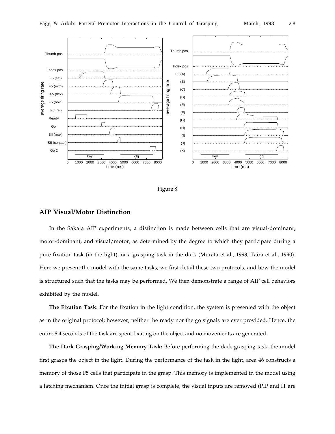

Figure 8

### **AIP Visual/Motor Distinction**

In the Sakata AIP experiments, a distinction is made between cells that are visual-dominant, motor-dominant, and visual/motor, as determined by the degree to which they participate during a pure fixation task (in the light), or a grasping task in the dark (Murata et al., 1993; Taira et al., 1990). Here we present the model with the same tasks; we first detail these two protocols, and how the model is structured such that the tasks may be performed. We then demonstrate a range of AIP cell behaviors exhibited by the model.

**The Fixation Task:** For the fixation in the light condition, the system is presented with the object as in the original protocol; however, neither the ready nor the go signals are ever provided. Hence, the entire 8.4 seconds of the task are spent fixating on the object and no movements are generated.

**The Dark Grasping/Working Memory Task:** Before performing the dark grasping task, the model first grasps the object in the light. During the performance of the task in the light, area 46 constructs a memory of those F5 cells that participate in the grasp. This memory is implemented in the model using a latching mechanism. Once the initial grasp is complete, the visual inputs are removed (PIP and IT are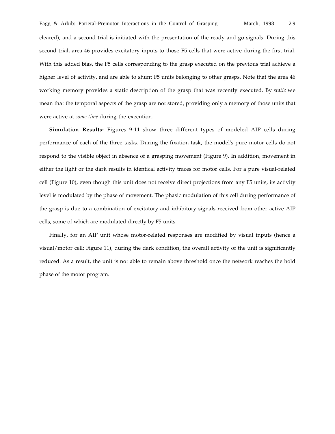cleared), and a second trial is initiated with the presentation of the ready and go signals. During this second trial, area 46 provides excitatory inputs to those F5 cells that were active during the first trial. With this added bias, the F5 cells corresponding to the grasp executed on the previous trial achieve a higher level of activity, and are able to shunt F5 units belonging to other grasps. Note that the area 46 working memory provides a static description of the grasp that was recently executed. By *static* we mean that the temporal aspects of the grasp are not stored, providing only a memory of those units that were active at *some time* during the execution.

**Simulation Results:** Figures 9-11 show three different types of modeled AIP cells during performance of each of the three tasks. During the fixation task, the model's pure motor cells do not respond to the visible object in absence of a grasping movement (Figure 9). In addition, movement in either the light or the dark results in identical activity traces for motor cells. For a pure visual-related cell (Figure 10), even though this unit does not receive direct projections from any F5 units, its activity level is modulated by the phase of movement. The phasic modulation of this cell during performance of the grasp is due to a combination of excitatory and inhibitory signals received from other active AIP cells, some of which are modulated directly by F5 units.

Finally, for an AIP unit whose motor-related responses are modified by visual inputs (hence a visual/motor cell; Figure 11), during the dark condition, the overall activity of the unit is significantly reduced. As a result, the unit is not able to remain above threshold once the network reaches the hold phase of the motor program.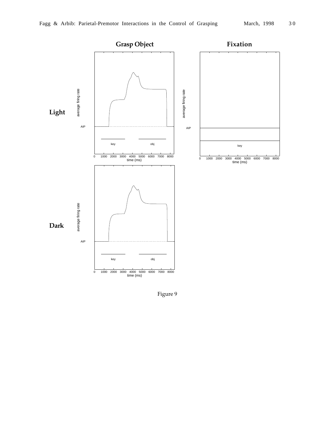

Figure 9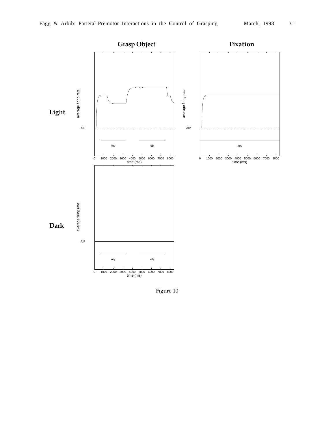

Figure 10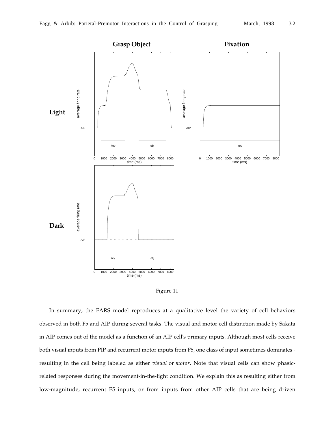

Figure 11

In summary, the FARS model reproduces at a qualitative level the variety of cell behaviors observed in both F5 and AIP during several tasks. The visual and motor cell distinction made by Sakata in AIP comes out of the model as a function of an AIP cell's primary inputs. Although most cells receive both visual inputs from PIP and recurrent motor inputs from F5, one class of input sometimes dominates resulting in the cell being labeled as either *visual* or *motor*. Note that visual cells can show phasicrelated responses during the movement-in-the-light condition. We explain this as resulting either from low-magnitude, recurrent F5 inputs, or from inputs from other AIP cells that are being driven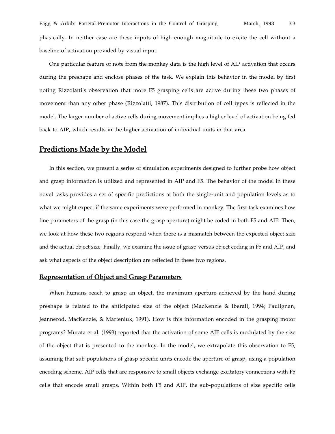One particular feature of note from the monkey data is the high level of AIP activation that occurs during the preshape and enclose phases of the task. We explain this behavior in the model by first noting Rizzolatti's observation that more F5 grasping cells are active during these two phases of movement than any other phase (Rizzolatti, 1987). This distribution of cell types is reflected in the model. The larger number of active cells during movement implies a higher level of activation being fed back to AIP, which results in the higher activation of individual units in that area.

# **Predictions Made by the Model**

In this section, we present a series of simulation experiments designed to further probe how object and grasp information is utilized and represented in AIP and F5. The behavior of the model in these novel tasks provides a set of specific predictions at both the single-unit and population levels as to what we might expect if the same experiments were performed in monkey. The first task examines how fine parameters of the grasp (in this case the grasp aperture) might be coded in both F5 and AIP. Then, we look at how these two regions respond when there is a mismatch between the expected object size and the actual object size. Finally, we examine the issue of grasp versus object coding in F5 and AIP, and ask what aspects of the object description are reflected in these two regions.

### **Representation of Object and Grasp Parameters**

When humans reach to grasp an object, the maximum aperture achieved by the hand during preshape is related to the anticipated size of the object (MacKenzie & Iberall, 1994; Paulignan, Jeannerod, MacKenzie, & Marteniuk, 1991). How is this information encoded in the grasping motor programs? Murata et al. (1993) reported that the activation of some AIP cells is modulated by the size of the object that is presented to the monkey. In the model, we extrapolate this observation to F5, assuming that sub-populations of grasp-specific units encode the aperture of grasp, using a population encoding scheme. AIP cells that are responsive to small objects exchange excitatory connections with F5 cells that encode small grasps. Within both F5 and AIP, the sub-populations of size specific cells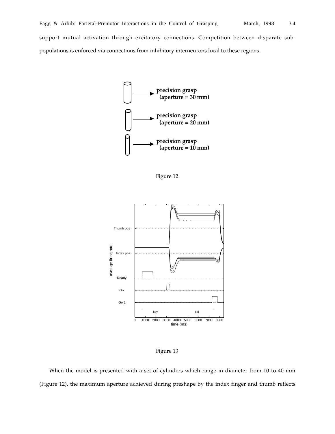support mutual activation through excitatory connections. Competition between disparate subpopulations is enforced via connections from inhibitory interneurons local to these regions.



Figure 12



Figure 13

When the model is presented with a set of cylinders which range in diameter from 10 to 40 mm (Figure 12), the maximum aperture achieved during preshape by the index finger and thumb reflects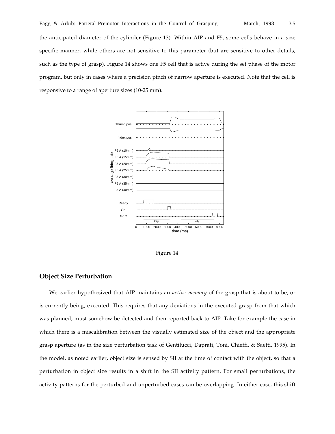the anticipated diameter of the cylinder (Figure 13). Within AIP and F5, some cells behave in a size specific manner, while others are not sensitive to this parameter (but are sensitive to other details, such as the type of grasp). Figure 14 shows one F5 cell that is active during the set phase of the motor program, but only in cases where a precision pinch of narrow aperture is executed. Note that the cell is responsive to a range of aperture sizes (10-25 mm).



Figure 14

#### **Object Size Perturbation**

We earlier hypothesized that AIP maintains an *active memory* of the grasp that is about to be, or is currently being, executed. This requires that any deviations in the executed grasp from that which was planned, must somehow be detected and then reported back to AIP. Take for example the case in which there is a miscalibration between the visually estimated size of the object and the appropriate grasp aperture (as in the size perturbation task of Gentilucci, Daprati, Toni, Chieffi, & Saetti, 1995). In the model, as noted earlier, object size is sensed by SII at the time of contact with the object, so that a perturbation in object size results in a shift in the SII activity pattern. For small perturbations, the activity patterns for the perturbed and unperturbed cases can be overlapping. In either case, this shift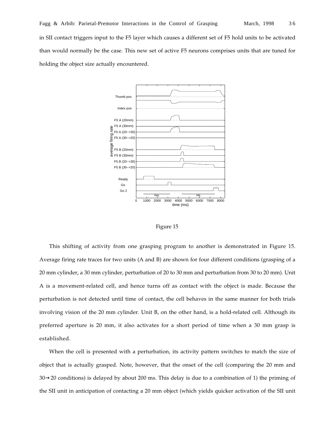in SII contact triggers input to the F5 layer which causes a different set of F5 hold units to be activated than would normally be the case. This new set of active F5 neurons comprises units that are tuned for holding the object size actually encountered.



#### Figure 15

This shifting of activity from one grasping program to another is demonstrated in Figure 15. Average firing rate traces for two units (A and B) are shown for four different conditions (grasping of a 20 mm cylinder, a 30 mm cylinder, perturbation of 20 to 30 mm and perturbation from 30 to 20 mm). Unit A is a movement-related cell, and hence turns off as contact with the object is made. Because the perturbation is not detected until time of contact, the cell behaves in the same manner for both trials involving vision of the 20 mm cylinder. Unit B, on the other hand, is a hold-related cell. Although its preferred aperture is 20 mm, it also activates for a short period of time when a 30 mm grasp is established.

When the cell is presented with a perturbation, its activity pattern switches to match the size of object that is actually grasped. Note, however, that the onset of the cell (comparing the 20 mm and 30→20 conditions) is delayed by about 200 ms. This delay is due to a combination of 1) the priming of the SII unit in anticipation of contacting a 20 mm object (which yields quicker activation of the SII unit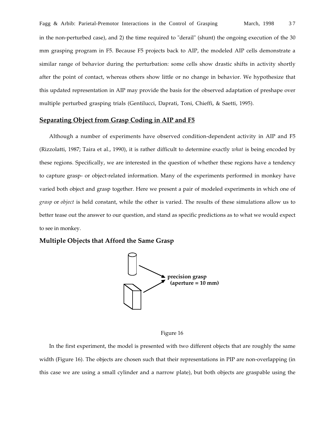in the non-perturbed case), and 2) the time required to "derail" (shunt) the ongoing execution of the 30 mm grasping program in F5. Because F5 projects back to AIP, the modeled AIP cells demonstrate a similar range of behavior during the perturbation: some cells show drastic shifts in activity shortly after the point of contact, whereas others show little or no change in behavior. We hypothesize that this updated representation in AIP may provide the basis for the observed adaptation of preshape over multiple perturbed grasping trials (Gentilucci, Daprati, Toni, Chieffi, & Saetti, 1995).

# **Separating Object from Grasp Coding in AIP and F5**

Although a number of experiments have observed condition-dependent activity in AIP and F5 (Rizzolatti, 1987; Taira et al., 1990), it is rather difficult to determine exactly *what* is being encoded by these regions. Specifically, we are interested in the question of whether these regions have a tendency to capture grasp- or object-related information. Many of the experiments performed in monkey have varied both object and grasp together. Here we present a pair of modeled experiments in which one of *grasp* or *object* is held constant, while the other is varied. The results of these simulations allow us to better tease out the answer to our question, and stand as specific predictions as to what we would expect to see in monkey.

## **Multiple Objects that Afford the Same Grasp**



#### Figure 16

In the first experiment, the model is presented with two different objects that are roughly the same width (Figure 16). The objects are chosen such that their representations in PIP are non-overlapping (in this case we are using a small cylinder and a narrow plate), but both objects are graspable using the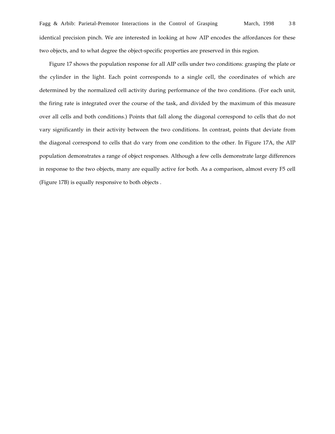Figure 17 shows the population response for all AIP cells under two conditions: grasping the plate or the cylinder in the light. Each point corresponds to a single cell, the coordinates of which are determined by the normalized cell activity during performance of the two conditions. (For each unit, the firing rate is integrated over the course of the task, and divided by the maximum of this measure over all cells and both conditions.) Points that fall along the diagonal correspond to cells that do not vary significantly in their activity between the two conditions. In contrast, points that deviate from the diagonal correspond to cells that do vary from one condition to the other. In Figure 17A, the AIP population demonstrates a range of object responses. Although a few cells demonstrate large differences in response to the two objects, many are equally active for both. As a comparison, almost every F5 cell (Figure 17B) is equally responsive to both objects .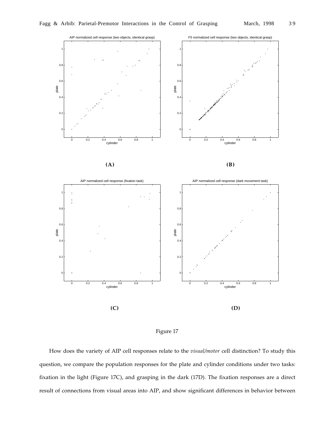







Figure 17

How does the variety of AIP cell responses relate to the *visual/motor* cell distinction? To study this question, we compare the population responses for the plate and cylinder conditions under two tasks: fixation in the light (Figure 17C), and grasping in the dark (17D). The fixation responses are a direct result of connections from visual areas into AIP, and show significant differences in behavior between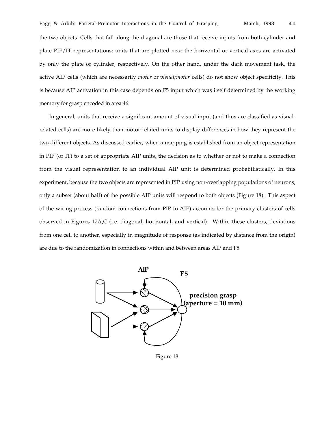the two objects. Cells that fall along the diagonal are those that receive inputs from both cylinder and plate PIP/IT representations; units that are plotted near the horizontal or vertical axes are activated by only the plate or cylinder, respectively. On the other hand, under the dark movement task, the active AIP cells (which are necessarily *motor* or *visual/motor* cells) do not show object specificity. This is because AIP activation in this case depends on F5 input which was itself determined by the working memory for grasp encoded in area 46.

In general, units that receive a significant amount of visual input (and thus are classified as visualrelated cells) are more likely than motor-related units to display differences in how they represent the two different objects. As discussed earlier, when a mapping is established from an object representation in PIP (or IT) to a set of appropriate AIP units, the decision as to whether or not to make a connection from the visual representation to an individual AIP unit is determined probabilistically. In this experiment, because the two objects are represented in PIP using non-overlapping populations of neurons, only a subset (about half) of the possible AIP units will respond to both objects (Figure 18). This aspect of the wiring process (random connections from PIP to AIP) accounts for the primary clusters of cells observed in Figures 17A,C (i.e. diagonal, horizontal, and vertical). Within these clusters, deviations from one cell to another, especially in magnitude of response (as indicated by distance from the origin) are due to the randomization in connections within and between areas AIP and F5.



Figure 18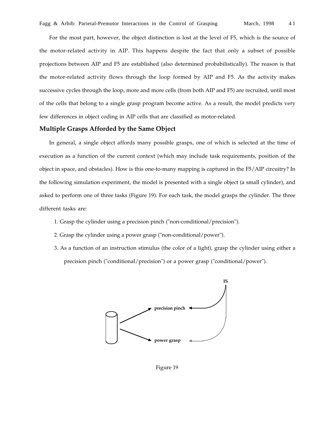For the most part, however, the object distinction is lost at the level of F5, which is the source of the motor-related activity in AIP. This happens despite the fact that only a subset of possible projections between AIP and F5 are established (also determined probabilistically). The reason is that the motor-related activity flows through the loop formed by AIP and F5. As the activity makes successive cycles through the loop, more and more cells (from both AIP and F5) are recruited, until most of the cells that belong to a single grasp program become active. As a result, the model predicts very few differences in object coding in AIP cells that are classified as motor-related.

#### **Multiple Grasps Afforded by the Same Object**

In general, a single object affords many possible grasps, one of which is selected at the time of execution as a function of the current context (which may include task requirements, position of the object in space, and obstacles). How is this one-to-many mapping is captured in the F5/AIP circuitry? In the following simulation experiment, the model is presented with a single object (a small cylinder), and asked to perform one of three tasks (Figure 19). For each task, the model grasps the cylinder. The three different tasks are:

- 1. Grasp the cylinder using a precision pinch ("non-conditional/precision").
- 2. Grasp the cylinder using a power grasp ("non-conditional/power").
- 3. As a function of an instruction stimulus (the color of a light), grasp the cylinder using either a precision pinch ("conditional/precision") or a power grasp ("conditional/power").



Figure 19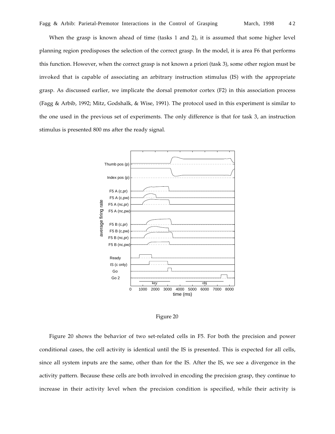When the grasp is known ahead of time (tasks 1 and 2), it is assumed that some higher level planning region predisposes the selection of the correct grasp. In the model, it is area F6 that performs this function. However, when the correct grasp is not known a priori (task 3), some other region must be invoked that is capable of associating an arbitrary instruction stimulus (IS) with the appropriate grasp. As discussed earlier, we implicate the dorsal premotor cortex (F2) in this association process (Fagg & Arbib, 1992; Mitz, Godshalk, & Wise, 1991). The protocol used in this experiment is similar to the one used in the previous set of experiments. The only difference is that for task 3, an instruction stimulus is presented 800 ms after the ready signal.



#### Figure 20

Figure 20 shows the behavior of two set-related cells in F5. For both the precision and power conditional cases, the cell activity is identical until the IS is presented. This is expected for all cells, since all system inputs are the same, other than for the IS. After the IS, we see a divergence in the activity pattern. Because these cells are both involved in encoding the precision grasp, they continue to increase in their activity level when the precision condition is specified, while their activity is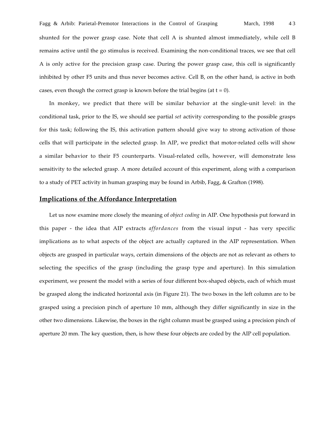shunted for the power grasp case. Note that cell A is shunted almost immediately, while cell B remains active until the go stimulus is received. Examining the non-conditional traces, we see that cell A is only active for the precision grasp case. During the power grasp case, this cell is significantly inhibited by other F5 units and thus never becomes active. Cell B, on the other hand, is active in both cases, even though the correct grasp is known before the trial begins (at  $t = 0$ ).

In monkey, we predict that there will be similar behavior at the single-unit level: in the conditional task, prior to the IS, we should see partial *set* activity corresponding to the possible grasps for this task; following the IS, this activation pattern should give way to strong activation of those cells that will participate in the selected grasp. In AIP, we predict that motor-related cells will show a similar behavior to their F5 counterparts. Visual-related cells, however, will demonstrate less sensitivity to the selected grasp. A more detailed account of this experiment, along with a comparison to a study of PET activity in human grasping may be found in Arbib, Fagg, & Grafton (1998).

### **Implications of the Affordance Interpretation**

Let us now examine more closely the meaning of *object coding* in AIP. One hypothesis put forward in this paper - the idea that AIP extracts *affordances* from the visual input - has very specific implications as to what aspects of the object are actually captured in the AIP representation. When objects are grasped in particular ways, certain dimensions of the objects are not as relevant as others to selecting the specifics of the grasp (including the grasp type and aperture). In this simulation experiment, we present the model with a series of four different box-shaped objects, each of which must be grasped along the indicated horizontal axis (in Figure 21). The two boxes in the left column are to be grasped using a precision pinch of aperture 10 mm, although they differ significantly in size in the other two dimensions. Likewise, the boxes in the right column must be grasped using a precision pinch of aperture 20 mm. The key question, then, is how these four objects are coded by the AIP cell population.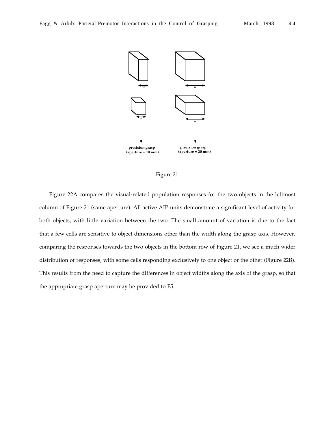

#### Figure 21

Figure 22A compares the visual-related population responses for the two objects in the leftmost column of Figure 21 (same aperture). All active AIP units demonstrate a significant level of activity for both objects, with little variation between the two. The small amount of variation is due to the fact that a few cells are sensitive to object dimensions other than the width along the grasp axis. However, comparing the responses towards the two objects in the bottom row of Figure 21, we see a much wider distribution of responses, with some cells responding exclusively to one object or the other (Figure 22B). This results from the need to capture the differences in object widths along the axis of the grasp, so that the appropriate grasp aperture may be provided to F5.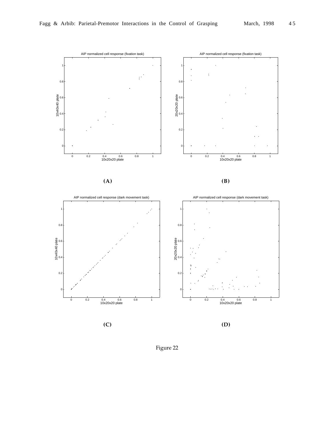

Figure 22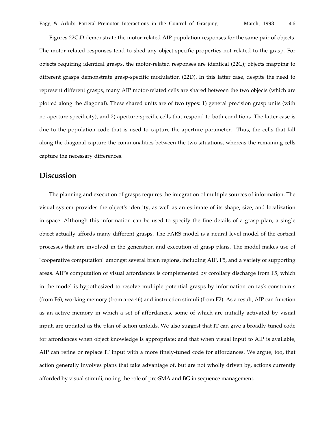Figures 22C,D demonstrate the motor-related AIP population responses for the same pair of objects. The motor related responses tend to shed any object-specific properties not related to the grasp. For objects requiring identical grasps, the motor-related responses are identical (22C); objects mapping to different grasps demonstrate grasp-specific modulation (22D). In this latter case, despite the need to represent different grasps, many AIP motor-related cells are shared between the two objects (which are plotted along the diagonal). These shared units are of two types: 1) general precision grasp units (with no aperture specificity), and 2) aperture-specific cells that respond to both conditions. The latter case is due to the population code that is used to capture the aperture parameter. Thus, the cells that fall along the diagonal capture the commonalities between the two situations, whereas the remaining cells capture the necessary differences.

# **Discussion**

The planning and execution of grasps requires the integration of multiple sources of information. The visual system provides the object's identity, as well as an estimate of its shape, size, and localization in space. Although this information can be used to specify the fine details of a grasp plan, a single object actually affords many different grasps. The FARS model is a neural-level model of the cortical processes that are involved in the generation and execution of grasp plans. The model makes use of "cooperative computation" amongst several brain regions, including AIP, F5, and a variety of supporting areas. AIP's computation of visual affordances is complemented by corollary discharge from F5, which in the model is hypothesized to resolve multiple potential grasps by information on task constraints (from F6), working memory (from area 46) and instruction stimuli (from F2). As a result, AIP can function as an active memory in which a set of affordances, some of which are initially activated by visual input, are updated as the plan of action unfolds. We also suggest that IT can give a broadly-tuned code for affordances when object knowledge is appropriate; and that when visual input to AIP is available, AIP can refine or replace IT input with a more finely-tuned code for affordances. We argue, too, that action generally involves plans that take advantage of, but are not wholly driven by, actions currently afforded by visual stimuli, noting the role of pre-SMA and BG in sequence management.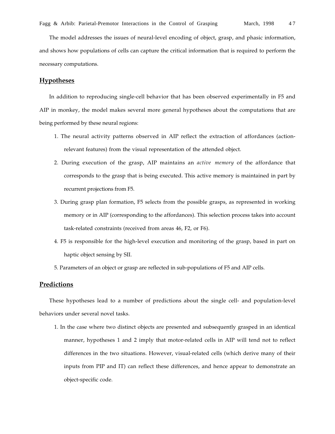The model addresses the issues of neural-level encoding of object, grasp, and phasic information, and shows how populations of cells can capture the critical information that is required to perform the necessary computations.

### **Hypotheses**

In addition to reproducing single-cell behavior that has been observed experimentally in F5 and AIP in monkey, the model makes several more general hypotheses about the computations that are being performed by these neural regions:

- 1. The neural activity patterns observed in AIP reflect the extraction of affordances (actionrelevant features) from the visual representation of the attended object.
- 2. During execution of the grasp, AIP maintains an *active memory* of the affordance that corresponds to the grasp that is being executed. This active memory is maintained in part by recurrent projections from F5.
- 3. During grasp plan formation, F5 selects from the possible grasps, as represented in working memory or in AIP (corresponding to the affordances). This selection process takes into account task-related constraints (received from areas 46, F2, or F6).
- 4. F5 is responsible for the high-level execution and monitoring of the grasp, based in part on haptic object sensing by SII.
- 5. Parameters of an object or grasp are reflected in sub-populations of F5 and AIP cells.

### **Predictions**

These hypotheses lead to a number of predictions about the single cell- and population-level behaviors under several novel tasks.

1. In the case where two distinct objects are presented and subsequently grasped in an identical manner, hypotheses 1 and 2 imply that motor-related cells in AIP will tend not to reflect differences in the two situations. However, visual-related cells (which derive many of their inputs from PIP and IT) can reflect these differences, and hence appear to demonstrate an object-specific code.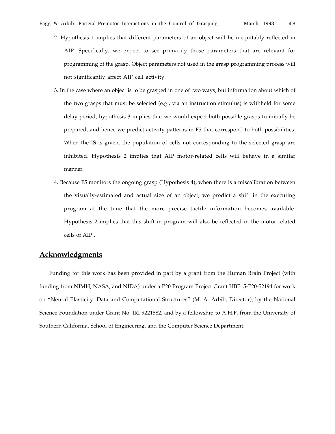- 2. Hypothesis 1 implies that different parameters of an object will be inequitably reflected in AIP. Specifically, we expect to see primarily those parameters that are relevant for programming of the grasp. Object parameters not used in the grasp programming process will not significantly affect AIP cell activity.
- 3. In the case where an object is to be grasped in one of two ways, but information about which of the two grasps that must be selected (e.g., via an instruction stimulus) is withheld for some delay period, hypothesis 3 implies that we would expect both possible grasps to initially be prepared, and hence we predict activity patterns in F5 that correspond to both possibilities. When the IS is given, the population of cells not corresponding to the selected grasp are inhibited. Hypothesis 2 implies that AIP motor-related cells will behave in a similar manner.
- 4. Because F5 monitors the ongoing grasp (Hypothesis 4), when there is a miscalibration between the visually-estimated and actual size of an object, we predict a shift in the executing program at the time that the more precise tactile information becomes available. Hypothesis 2 implies that this shift in program will also be reflected in the motor-related cells of AIP .

# **Acknowledgments**

Funding for this work has been provided in part by a grant from the Human Brain Project (with funding from NIMH, NASA, and NIDA) under a P20 Program Project Grant HBP: 5-P20-52194 for work on "Neural Plasticity: Data and Computational Structures" (M. A. Arbib, Director), by the National Science Foundation under Grant No. IRI-9221582, and by a fellowship to A.H.F. from the University of Southern California, School of Engineering, and the Computer Science Department.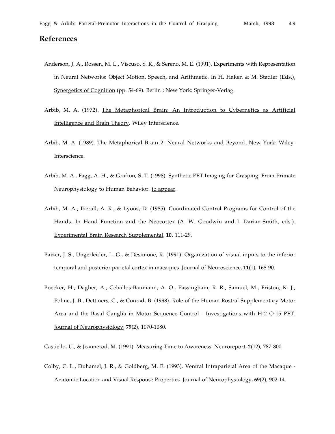# **References**

- Anderson, J. A., Rossen, M. L., Viscuso, S. R., & Sereno, M. E. (1991). Experiments with Representation in Neural Networks: Object Motion, Speech, and Arithmetic. In H. Haken & M. Stadler (Eds.), Synergetics of Cognition (pp. 54-69). Berlin ; New York: Springer-Verlag.
- Arbib, M. A. (1972). The Metaphorical Brain: An Introduction to Cybernetics as Artificial Intelligence and Brain Theory. Wiley Interscience.
- Arbib, M. A. (1989). The Metaphorical Brain 2: Neural Networks and Beyond. New York: Wiley-Interscience.
- Arbib, M. A., Fagg, A. H., & Grafton, S. T. (1998). Synthetic PET Imaging for Grasping: From Primate Neurophysiology to Human Behavior. to appear.
- Arbib, M. A., Iberall, A. R., & Lyons, D. (1985). Coordinated Control Programs for Control of the Hands. In Hand Function and the Neocortex (A. W. Goodwin and I. Darian-Smith, eds.). Experimental Brain Research Supplemental, **10**, 111-29.
- Baizer, J. S., Ungerleider, L. G., & Desimone, R. (1991). Organization of visual inputs to the inferior temporal and posterior parietal cortex in macaques. Journal of Neuroscience, **11**(1), 168-90.
- Boecker, H., Dagher, A., Ceballos-Baumann, A. O., Passingham, R. R., Samuel, M., Friston, K. J., Poline, J. B., Dettmers, C., & Conrad, B. (1998). Role of the Human Rostral Supplementary Motor Area and the Basal Ganglia in Motor Sequence Control - Investigations with H-2 O-15 PET. Journal of Neurophysiology, **79**(2), 1070-1080.
- Castiello, U., & Jeannerod, M. (1991). Measuring Time to Awareness. Neuroreport, **2**(12), 787-800.
- Colby, C. L., Duhamel, J. R., & Goldberg, M. E. (1993). Ventral Intraparietal Area of the Macaque Anatomic Location and Visual Response Properties. Journal of Neurophysiology, **69**(2), 902-14.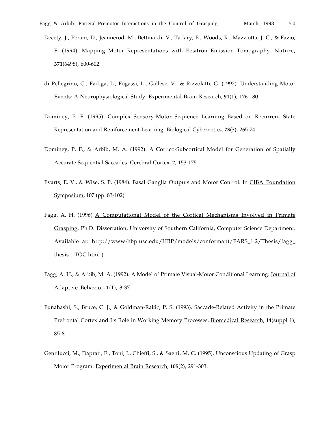- Decety, J., Perani, D., Jeannerod, M., Bettinardi, V., Tadary, B., Woods, R., Mazziotta, J. C., & Fazio, F. (1994). Mapping Motor Representations with Positron Emission Tomography. Nature, **371**(6498), 600-602.
- di Pellegrino, G., Fadiga, L., Fogassi, L., Gallese, V., & Rizzolatti, G. (1992). Understanding Motor Events: A Neurophysiological Study. Experimental Brain Research, **91**(1), 176-180.
- Dominey, P. F. (1995). Complex Sensory-Motor Sequence Learning Based on Recurrent State Representation and Reinforcement Learning. Biological Cybernetics, **73**(3), 265-74.
- Dominey, P. F., & Arbib, M. A. (1992). A Cortico-Subcortical Model for Generation of Spatially Accurate Sequential Saccades. Cerebral Cortex, **2**, 153-175.
- Evarts, E. V., & Wise, S. P. (1984). Basal Ganglia Outputs and Motor Control. In CIBA Foundation Symposium, 107 (pp. 83-102).
- Fagg, A. H. (1996) A Computational Model of the Cortical Mechanisms Involved in Primate Grasping. Ph.D. Dissertation, University of Southern California, Computer Science Department. Available at: http://www-hbp.usc.edu/HBP/models/conformant/FARS\_1.2/Thesis/fagg\_ thesis\_ TOC.html.)
- Fagg, A. H., & Arbib, M. A. (1992). A Model of Primate Visual-Motor Conditional Learning. Journal of Adaptive Behavior, **1**(1), 3-37.
- Funahashi, S., Bruce, C. J., & Goldman-Rakic, P. S. (1993). Saccade-Related Activity in the Primate Prefrontal Cortex and Its Role in Working Memory Processes. Biomedical Research, **14**(suppl 1), 85-8.
- Gentilucci, M., Daprati, E., Toni, I., Chieffi, S., & Saetti, M. C. (1995). Unconscious Updating of Grasp Motor Program. Experimental Brain Research, **105**(2), 291-303.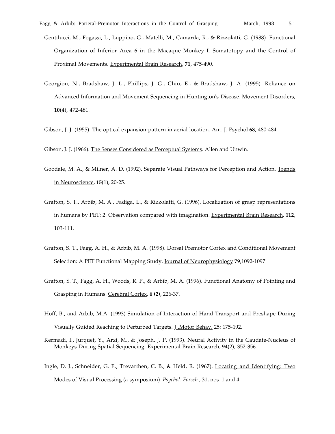- Gentilucci, M., Fogassi, L., Luppino, G., Matelli, M., Camarda, R., & Rizzolatti, G. (1988). Functional Organization of Inferior Area 6 in the Macaque Monkey I. Somatotopy and the Control of Proximal Movements. Experimental Brain Research, **71**, 475-490.
- Georgiou, N., Bradshaw, J. L., Phillips, J. G., Chiu, E., & Bradshaw, J. A. (1995). Reliance on Advanced Information and Movement Sequencing in Huntington's-Disease. Movement Disorders, **10**(4), 472-481.
- Gibson, J. J. (1955). The optical expansion-pattern in aerial location. Am. J. Psychol **68**, 480-484.

Gibson, J. J. (1966). The Senses Considered as Perceptual Systems. Allen and Unwin.

- Goodale, M. A., & Milner, A. D. (1992). Separate Visual Pathways for Perception and Action. Trends in Neuroscience, **15**(1), 20-25.
- Grafton, S. T., Arbib, M. A., Fadiga, L., & Rizzolatti, G. (1996). Localization of grasp representations in humans by PET: 2. Observation compared with imagination. Experimental Brain Research, **112**, 103-111.
- Grafton, S. T., Fagg, A. H., & Arbib, M. A. (1998). Dorsal Premotor Cortex and Conditional Movement Selection: A PET Functional Mapping Study. Journal of Neurophysiology **79**,1092-1097
- Grafton, S. T., Fagg, A. H., Woods, R. P., & Arbib, M. A. (1996). Functional Anatomy of Pointing and Grasping in Humans. Cerebral Cortex, **6 (2)**, 226-37.
- Hoff, B., and Arbib, M.A. (1993) Simulation of Interaction of Hand Transport and Preshape During Visually Guided Reaching to Perturbed Targets. J. Motor Behav. 25: 175-192.
- Kermadi, I., Jurquet, Y., Arzi, M., & Joseph, J. P. (1993). Neural Activity in the Caudate-Nucleus of Monkeys During Spatial Sequencing. Experimental Brain Research, **94**(2), 352-356.
- Ingle, D. J., Schneider, G. E., Trevarthen, C. B., & Held, R. (1967). Locating and Identifying: Two Modes of Visual Processing (a symposium). *Psychol. Forsch.*, 31, nos. 1 and 4.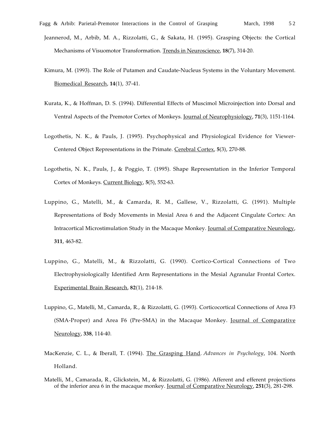- Jeannerod, M., Arbib, M. A., Rizzolatti, G., & Sakata, H. (1995). Grasping Objects: the Cortical Mechanisms of Visuomotor Transformation. Trends in Neuroscience, **18**(7), 314-20.
- Kimura, M. (1993). The Role of Putamen and Caudate-Nucleus Systems in the Voluntary Movement. Biomedical Research, **14**(1), 37-41.
- Kurata, K., & Hoffman, D. S. (1994). Differential Effects of Muscimol Microinjection into Dorsal and Ventral Aspects of the Premotor Cortex of Monkeys. Journal of Neurophysiology, **71**(3), 1151-1164.
- Logothetis, N. K., & Pauls, J. (1995). Psychophysical and Physiological Evidence for Viewer-Centered Object Representations in the Primate. Cerebral Cortex, **5**(3), 270-88.
- Logothetis, N. K., Pauls, J., & Poggio, T. (1995). Shape Representation in the Inferior Temporal Cortex of Monkeys. Current Biology, **5**(5), 552-63.
- Luppino, G., Matelli, M., & Camarda, R. M., Gallese, V., Rizzolatti, G. (1991). Multiple Representations of Body Movements in Mesial Area 6 and the Adjacent Cingulate Cortex: An Intracortical Microstimulation Study in the Macaque Monkey. Journal of Comparative Neurology, **311**, 463-82.
- Luppino, G., Matelli, M., & Rizzolatti, G. (1990). Cortico-Cortical Connections of Two Electrophysiologically Identified Arm Representations in the Mesial Agranular Frontal Cortex. Experimental Brain Research, **82**(1), 214-18.
- Luppino, G., Matelli, M., Camarda, R., & Rizzolatti, G. (1993). Corticocortical Connections of Area F3 (SMA-Proper) and Area F6 (Pre-SMA) in the Macaque Monkey. Journal of Comparative Neurology, **338**, 114-40.
- MacKenzie, C. L., & Iberall, T. (1994). The Grasping Hand. *Advances in Psychology*, 104. North Holland.
- Matelli, M., Camarada, R., Glickstein, M., & Rizzolatti, G. (1986). Afferent and efferent projections of the inferior area 6 in the macaque monkey. Journal of Comparative Neurology, **251**(3), 281-298.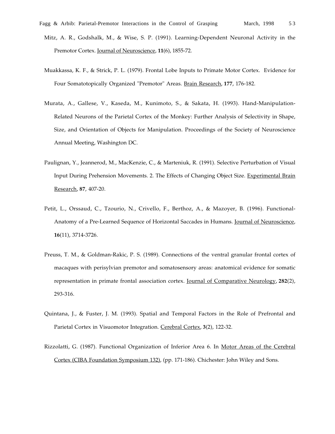- Mitz, A. R., Godshalk, M., & Wise, S. P. (1991). Learning-Dependent Neuronal Activity in the Premotor Cortex. Journal of Neuroscience, **11**(6), 1855-72.
- Muakkassa, K. F., & Strick, P. L. (1979). Frontal Lobe Inputs to Primate Motor Cortex. Evidence for Four Somatotopically Organized "Premotor" Areas. Brain Research, **177**, 176-182.
- Murata, A., Gallese, V., Kaseda, M., Kunimoto, S., & Sakata, H. (1993). Hand-Manipulation-Related Neurons of the Parietal Cortex of the Monkey: Further Analysis of Selectivity in Shape, Size, and Orientation of Objects for Manipulation. Proceedings of the Society of Neuroscience Annual Meeting, Washington DC.
- Paulignan, Y., Jeannerod, M., MacKenzie, C., & Marteniuk, R. (1991). Selective Perturbation of Visual Input During Prehension Movements. 2. The Effects of Changing Object Size. Experimental Brain Research, **87**, 407-20.
- Petit, L., Orssaud, C., Tzourio, N., Crivello, F., Berthoz, A., & Mazoyer, B. (1996). Functional-Anatomy of a Pre-Learned Sequence of Horizontal Saccades in Humans. Journal of Neuroscience, **16**(11), 3714-3726.
- Preuss, T. M., & Goldman-Rakic, P. S. (1989). Connections of the ventral granular frontal cortex of macaques with perisylvian premotor and somatosensory areas: anatomical evidence for somatic representation in primate frontal association cortex. Journal of Comparative Neurology, **282**(2), 293-316.
- Quintana, J., & Fuster, J. M. (1993). Spatial and Temporal Factors in the Role of Prefrontal and Parietal Cortex in Visuomotor Integration. Cerebral Cortex, **3**(2), 122-32.
- Rizzolatti, G. (1987). Functional Organization of Inferior Area 6. In Motor Areas of the Cerebral Cortex (CIBA Foundation Symposium 132), (pp. 171-186). Chichester: John Wiley and Sons.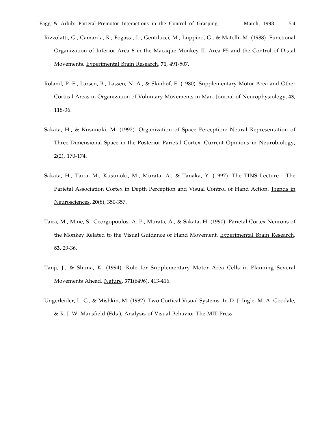- Rizzolatti, G., Camarda, R., Fogassi, L., Gentilucci, M., Luppino, G., & Matelli, M. (1988). Functional Organization of Inferior Area 6 in the Macaque Monkey II. Area F5 and the Control of Distal Movements. Experimental Brain Research, **71**, 491-507.
- Roland, P. E., Larsen, B., Lassen, N. A., & Skinhøf, E. (1980). Supplementary Motor Area and Other Cortical Areas in Organization of Voluntary Movements in Man. Journal of Neurophysiology, **43**, 118-36.
- Sakata, H., & Kusunoki, M. (1992). Organization of Space Perception: Neural Representation of Three-Dimensional Space in the Posterior Parietal Cortex. Current Opinions in Neurobiology, **2**(2), 170-174.
- Sakata, H., Taira, M., Kusunoki, M., Murata, A., & Tanaka, Y. (1997). The TINS Lecture The Parietal Association Cortex in Depth Perception and Visual Control of Hand Action. Trends in Neurosciences, **20**(8), 350-357.
- Taira, M., Mine, S., Georgopoulos, A. P., Murata, A., & Sakata, H. (1990). Parietal Cortex Neurons of the Monkey Related to the Visual Guidance of Hand Movement. Experimental Brain Research, **83**, 29-36.
- Tanji, J., & Shima, K. (1994). Role for Supplementary Motor Area Cells in Planning Several Movements Ahead. Nature, **371**(6496), 413-416.
- Ungerleider, L. G., & Mishkin, M. (1982). Two Cortical Visual Systems. In D. J. Ingle, M. A. Goodale, & R. J. W. Mansfield (Eds.), Analysis of Visual Behavior The MIT Press.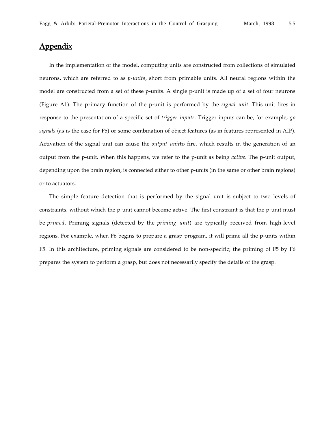# **Appendix**

In the implementation of the model, computing units are constructed from collections of simulated neurons, which are referred to as *p-units*, short from primable units. All neural regions within the model are constructed from a set of these p-units. A single p-unit is made up of a set of four neurons (Figure A1). The primary function of the p-unit is performed by the *signal unit*. This unit fires in response to the presentation of a specific set of *trigger inputs*. Trigger inputs can be, for example, *go signals* (as is the case for F5) or some combination of object features (as in features represented in AIP). Activation of the signal unit can cause the *output unit*to fire, which results in the generation of an output from the p-unit. When this happens, we refer to the p-unit as being *active*. The p-unit output, depending upon the brain region, is connected either to other p-units (in the same or other brain regions) or to actuators.

The simple feature detection that is performed by the signal unit is subject to two levels of constraints, without which the p-unit cannot become active. The first constraint is that the p-unit must be *primed*. Priming signals (detected by the *priming unit*) are typically received from high-level regions. For example, when F6 begins to prepare a grasp program, it will prime all the p-units within F5. In this architecture, priming signals are considered to be non-specific; the priming of F5 by F6 prepares the system to perform a grasp, but does not necessarily specify the details of the grasp.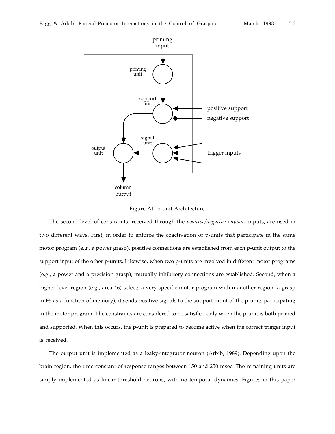

Figure A1: p-unit Architecture

The second level of constraints, received through the *positive/negative support* inputs, are used in two different ways. First, in order to enforce the coactivation of p-units that participate in the same motor program (e.g., a power grasp), positive connections are established from each p-unit output to the support input of the other p-units. Likewise, when two p-units are involved in different motor programs (e.g., a power and a precision grasp), mutually inhibitory connections are established. Second, when a higher-level region (e.g., area 46) selects a very specific motor program within another region (a grasp in F5 as a function of memory), it sends positive signals to the support input of the p-units participating in the motor program. The constraints are considered to be satisfied only when the p-unit is both primed and supported. When this occurs, the p-unit is prepared to become active when the correct trigger input is received.

The output unit is implemented as a leaky-integrator neuron (Arbib, 1989). Depending upon the brain region, the time constant of response ranges between 150 and 250 msec. The remaining units are simply implemented as linear-threshold neurons, with no temporal dynamics. Figures in this paper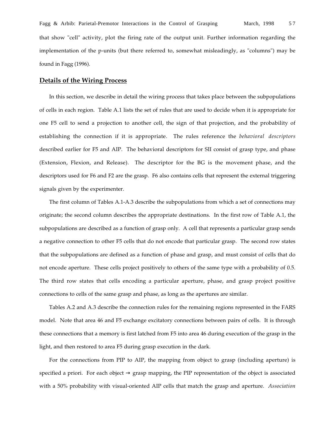that show "cell" activity, plot the firing rate of the output unit. Further information regarding the implementation of the p-units (but there referred to, somewhat misleadingly, as "columns") may be found in Fagg (1996).

### **Details of the Wiring Process**

In this section, we describe in detail the wiring process that takes place between the subpopulations of cells in each region. Table A.1 lists the set of rules that are used to decide when it is appropriate for one F5 cell to send a projection to another cell, the sign of that projection, and the probability of establishing the connection if it is appropriate. The rules reference the *behavioral descriptors* described earlier for F5 and AIP. The behavioral descriptors for SII consist of grasp type, and phase (Extension, Flexion, and Release). The descriptor for the BG is the movement phase, and the descriptors used for F6 and F2 are the grasp. F6 also contains cells that represent the external triggering signals given by the experimenter.

The first column of Tables A.1-A.3 describe the subpopulations from which a set of connections may originate; the second column describes the appropriate destinations. In the first row of Table A.1, the subpopulations are described as a function of grasp only. A cell that represents a particular grasp sends a negative connection to other F5 cells that do not encode that particular grasp. The second row states that the subpopulations are defined as a function of phase and grasp, and must consist of cells that do not encode aperture. These cells project positively to others of the same type with a probability of 0.5. The third row states that cells encoding a particular aperture, phase, and grasp project positive connections to cells of the same grasp and phase, as long as the apertures are similar.

Tables A.2 and A.3 describe the connection rules for the remaining regions represented in the FARS model. Note that area 46 and F5 exchange excitatory connections between pairs of cells. It is through these connections that a memory is first latched from F5 into area 46 during execution of the grasp in the light, and then restored to area F5 during grasp execution in the dark.

For the connections from PIP to AIP, the mapping from object to grasp (including aperture) is specified a priori. For each object  $\rightarrow$  grasp mapping, the PIP representation of the object is associated with a 50% probability with visual-oriented AIP cells that match the grasp and aperture. *Association*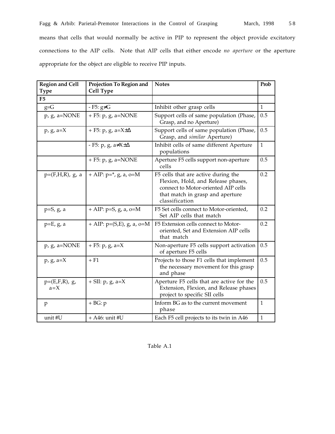means that cells that would normally be active in PIP to represent the object provide excitatory connections to the AIP cells. Note that AIP cells that either encode *no aperture* or the aperture appropriate for the object are eligible to receive PIP inputs.

| <b>Region and Cell</b><br><b>Type</b> | Projection To Region and<br>Cell Type | <b>Notes</b>                                                                                                                                                           | Prob         |
|---------------------------------------|---------------------------------------|------------------------------------------------------------------------------------------------------------------------------------------------------------------------|--------------|
| F <sub>5</sub>                        |                                       |                                                                                                                                                                        |              |
| $g = G$                               | $-F5: g \neq G$                       | Inhibit other grasp cells                                                                                                                                              | 1            |
| p, g, a=NONE                          | + F5: p, g, a=NONE                    | Support cells of same population (Phase,<br>Grasp, and no Aperture)                                                                                                    | 0.5          |
| $p$ , $g$ , $a=X$                     | + F5: p, g, a= $X\pm\Delta$           | Support cells of same population (Phase,<br>Grasp, and similar Aperture)                                                                                               | 0.5          |
|                                       | - F5: p, g, a $\neq$ X $\pm$ $\Delta$ | Inhibit cells of same different Aperture<br>populations                                                                                                                | $\mathbf{1}$ |
|                                       | $+ F5$ : p, g, a=NONE                 | Aperture F5 cells support non-aperture<br>cells                                                                                                                        | 0.5          |
| $p=(F,H,R), g, a$                     | + AIP: $p=$ *, g, a, o=M              | F5 cells that are active during the<br>Flexion, Hold, and Release phases,<br>connect to Motor-oriented AIP cells<br>that match in grasp and aperture<br>classification | 0.2          |
| $p=S$ , g, a                          | + AIP: $p=$ S, $g$ , $a$ , $o=M$      | F5 Set cells connect to Motor-oriented,<br>Set AIP cells that match                                                                                                    | 0.2          |
| $p=$ E, g, a                          | + AIP: $p=(S,E)$ , g, a, o=M          | F5 Extension cells connect to Motor-<br>oriented, Set and Extension AIP cells<br>that match                                                                            | 0.2          |
| p, g, a=NONE                          | $+ F5: p, g, a = X$                   | Non-aperture F5 cells support activation<br>of aperture F5 cells                                                                                                       | 0.5          |
| $p$ , $g$ , $a=X$                     | $+ F1$                                | Projects to those F1 cells that implement<br>the necessary movement for this grasp<br>and phase                                                                        | 0.5          |
| $p=(E,F,R), g,$<br>$a = X$            | $+$ SII: p, g, a=X                    | Aperture F5 cells that are active for the<br>Extension, Flexion, and Release phases<br>project to specific SII cells                                                   | 0.5          |
| p                                     | $+ BG: p$                             | Inform BG as to the current movement<br>phase                                                                                                                          | $\mathbf{1}$ |
| unit #U                               | $+$ A46: unit #U                      | Each F5 cell projects to its twin in A46                                                                                                                               | $\mathbf{1}$ |

Table A.1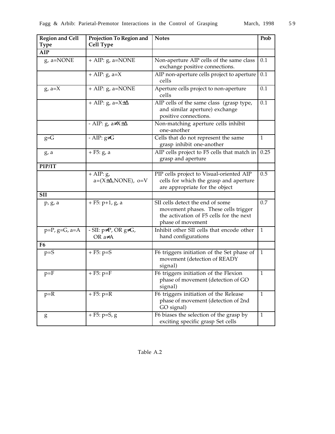| <b>Region and Cell</b><br><b>Type</b> | Projection To Region and<br>Cell Type                | <b>Notes</b>                                                                                                                             | Prob         |
|---------------------------------------|------------------------------------------------------|------------------------------------------------------------------------------------------------------------------------------------------|--------------|
| <b>AIP</b>                            |                                                      |                                                                                                                                          |              |
| $g$ , a=NONE                          | $+$ AIP: $g$ , $a =$ NONE                            | Non-aperture AIP cells of the same class<br>exchange positive connections.                                                               | 0.1          |
|                                       | $+$ AIP: $g$ , a=X                                   | AIP non-aperture cells project to aperture<br>cells                                                                                      | 0.1          |
| $g$ , $a=X$                           | + AIP: g, a=NONE                                     | Aperture cells project to non-aperture<br>cells                                                                                          | 0.1          |
|                                       | + AIP: $g$ , $a=\overline{X\pm\Delta}$               | AIP cells of the same class (grasp type,<br>and similar aperture) exchange<br>positive connections.                                      | 0.1          |
|                                       | - AIP: $g$ , $a \neq X \pm \Delta$                   | Non-matching aperture cells inhibit<br>one-another                                                                                       |              |
| $g = G$                               | - AIP: $g \neq G$                                    | Cells that do not represent the same<br>grasp inhibit one-another                                                                        | 1            |
| $g$ , a                               | $+ F5: g, a$                                         | AIP cells project to F5 cells that match in<br>grasp and aperture                                                                        | 0.25         |
| PIP/IT                                |                                                      |                                                                                                                                          |              |
|                                       | $+ AIP: g,$<br>$a=(X\pm\Delta, NONE)$ , $o=V$        | PIP cells project to Visual-oriented AIP<br>cells for which the grasp and aperture<br>are appropriate for the object                     | 0.5          |
| <b>SII</b>                            |                                                      |                                                                                                                                          |              |
| p, g, a                               | $+ F5: p+1, g, a$                                    | SII cells detect the end of some<br>movement phases. These cells trigger<br>the activation of F5 cells for the next<br>phase of movement | 0.7          |
| $p = P$ , $g = G$ , $a = A$           | - SII: $p \neq P$ , OR $g \neq G$ ,<br>OR $a \neq A$ | Inhibit other SII cells that encode other<br>hand configurations                                                                         | 1            |
| F6                                    |                                                      |                                                                                                                                          |              |
| $p = S$                               | $+ F5: p=S$                                          | F6 triggers initiation of the Set phase of<br>movement (detection of READY<br>signal)                                                    | 1            |
| $p = F$                               | $+ F5: p = F$                                        | F6 triggers initiation of the Flexion<br>phase of movement (detection of GO<br>signal)                                                   | $\mathbf{1}$ |
| $p=R$                                 | $+ F5: p=R$                                          | F6 triggers initiation of the Release<br>phase of movement (detection of 2nd<br>GO signal)                                               | $\mathbf{1}$ |
| g                                     | $+ F5: p=S, g$                                       | F6 biases the selection of the grasp by<br>exciting specific grasp Set cells                                                             | $\mathbf{1}$ |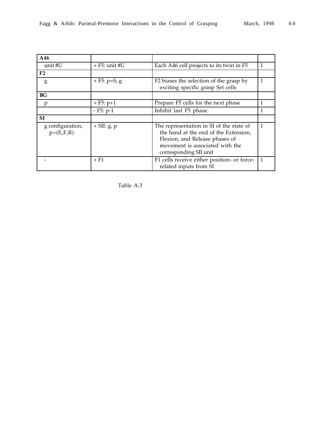| A46                             |                 |                                                                                                                                                                                  |  |
|---------------------------------|-----------------|----------------------------------------------------------------------------------------------------------------------------------------------------------------------------------|--|
| unit #U                         | $+$ F5: unit #U | Each A46 cell projects to its twin in F5                                                                                                                                         |  |
| F2                              |                 |                                                                                                                                                                                  |  |
| g                               | $+ F5: p=S, g$  | F2 biases the selection of the grasp by<br>exciting specific grasp Set cells                                                                                                     |  |
| BG                              |                 |                                                                                                                                                                                  |  |
| p                               | $+ F5: p+1$     | Prepare F5 cells for the next phase                                                                                                                                              |  |
|                                 | $-F5: p-1$      | Inhibit last F5 phase                                                                                                                                                            |  |
| SI                              |                 |                                                                                                                                                                                  |  |
| g configuration,<br>$p=(E,F,R)$ | $+$ SII: g, p   | The representation in SI of the state of<br>the hand at the end of the Extension,<br>Flexion, and Release phases of<br>movement is associated with the<br>corresponding SII unit |  |
|                                 | $+ F1$          | F1 cells receive either position- or force-<br>related inputs from SI                                                                                                            |  |

Table A.3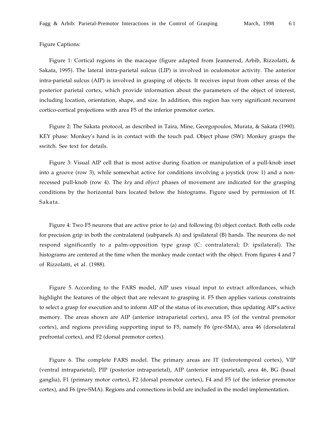Figure Captions:

Figure 1: Cortical regions in the macaque (figure adapted from Jeannerod, Arbib, Rizzolatti, & Sakata, 1995). The lateral intra-parietal sulcus (LIP) is involved in oculomotor activity. The anterior intra-parietal sulcus (AIP) is involved in grasping of objects. It receives input from other areas of the posterior parietal cortex, which provide information about the parameters of the object of interest, including location, orientation, shape, and size. In addition, this region has very significant recurrent cortico-cortical projections with area F5 of the inferior premotor cortex.

Figure 2: The Sakata protocol, as described in Taira, Mine, Georgopoulos, Murata, & Sakata (1990). KEY phase: Monkey's hand is in contact with the touch pad. Object phase (SW): Monkey grasps the switch. See text for details.

Figure 3: Visual AIP cell that is most active during fixation or manipulation of a pull-knob inset into a groove (row 3), while somewhat active for conditions involving a joystick (row 1) and a nonrecessed pull-knob (row 4). The *key* and *object* phases of movement are indicated for the grasping conditions by the horizontal bars located below the histograms. Figure used by permission of H. Sakata.

Figure 4: Two F5 neurons that are active prior to (a) and following (b) object contact. Both cells code for precision grip in both the contralateral (subpanels A) and ipsilateral (B) hands. The neurons do not respond significantly to a palm-opposition type grasp (C: contralateral; D: ipsilateral). The histograms are centered at the time when the monkey made contact with the object. From figures 4 and 7 of Rizzolatti, et al. (1988).

Figure 5. According to the FARS model, AIP uses visual input to extract affordances, which highlight the features of the object that are relevant to grasping it. F5 then applies various constraints to select a grasp for execution and to inform AIP of the status of its execution, thus updating AIP's active memory. The areas shown are AIP (anterior intraparietal cortex), area F5 (of the ventral premotor cortex), and regions providing supporting input to F5, namely F6 (pre-SMA), area 46 (dorsolateral prefrontal cortex), and F2 (dorsal premotor cortex).

Figure 6. The complete FARS model. The primary areas are IT (inferotemporal cortex), VIP (ventral intraparietal), PIP (posterior intraparietal), AIP (anterior intraparietal), area 46, BG (basal ganglia), F1 (primary motor cortex), F2 (dorsal premotor cortex), F4 and F5 (of the inferior premotor cortex), and F6 (pre-SMA). Regions and connections in bold are included in the model implementation.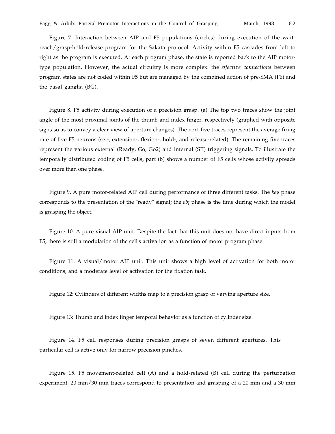Figure 7. Interaction between AIP and F5 populations (circles) during execution of the waitreach/grasp-hold-release program for the Sakata protocol. Activity within F5 cascades from left to right as the program is executed. At each program phase, the state is reported back to the AIP motortype population. However, the actual circuitry is more complex: the *effective connections* between program states are not coded within F5 but are managed by the combined action of pre-SMA (F6) and the basal ganglia (BG).

Figure 8. F5 activity during execution of a precision grasp. (a) The top two traces show the joint angle of the most proximal joints of the thumb and index finger, respectively (graphed with opposite signs so as to convey a clear view of aperture changes). The next five traces represent the average firing rate of five F5 neurons (set-, extension-, flexion-, hold-, and release-related). The remaining five traces represent the various external (Ready, Go, Go2) and internal (SII) triggering signals. To illustrate the temporally distributed coding of F5 cells, part (b) shows a number of F5 cells whose activity spreads over more than one phase.

Figure 9. A pure motor-related AIP cell during performance of three different tasks. The *key* phase corresponds to the presentation of the "ready" signal; the *obj* phase is the time during which the model is grasping the object.

Figure 10. A pure visual AIP unit. Despite the fact that this unit does not have direct inputs from F5, there is still a modulation of the cell's activation as a function of motor program phase.

Figure 11. A visual/motor AIP unit. This unit shows a high level of activation for both motor conditions, and a moderate level of activation for the fixation task.

Figure 12: Cylinders of different widths map to a precision grasp of varying aperture size.

Figure 13: Thumb and index finger temporal behavior as a function of cylinder size.

Figure 14. F5 cell responses during precision grasps of seven different apertures. This particular cell is active only for narrow precision pinches.

Figure 15. F5 movement-related cell (A) and a hold-related (B) cell during the perturbation experiment. 20 mm/30 mm traces correspond to presentation and grasping of a 20 mm and a 30 mm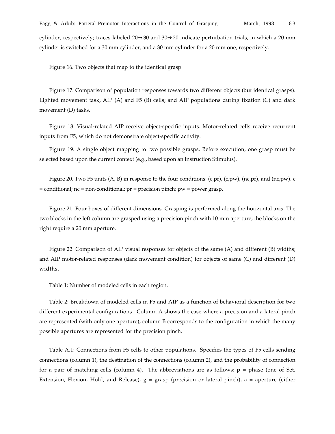cylinder, respectively; traces labeled 20→30 and 30→20 indicate perturbation trials, in which a 20 mm cylinder is switched for a 30 mm cylinder, and a 30 mm cylinder for a 20 mm one, respectively.

Figure 16. Two objects that map to the identical grasp.

Figure 17. Comparison of population responses towards two different objects (but identical grasps). Lighted movement task, AIP (A) and F5 (B) cells; and AIP populations during fixation (C) and dark movement (D) tasks.

Figure 18. Visual-related AIP receive object-specific inputs. Motor-related cells receive recurrent inputs from F5, which do not demonstrate object-specific activity.

Figure 19. A single object mapping to two possible grasps. Before execution, one grasp must be selected based upon the current context (e.g., based upon an Instruction Stimulus).

Figure 20. Two F5 units (A, B) in response to the four conditions: (c,pr), (c,pw), (nc,pr), and (nc,pw). c = conditional; nc = non-conditional; pr = precision pinch; pw = power grasp.

Figure 21. Four boxes of different dimensions. Grasping is performed along the horizontal axis. The two blocks in the left column are grasped using a precision pinch with 10 mm aperture; the blocks on the right require a 20 mm aperture.

Figure 22. Comparison of AIP visual responses for objects of the same (A) and different (B) widths; and AIP motor-related responses (dark movement condition) for objects of same (C) and different (D) widths.

Table 1: Number of modeled cells in each region.

Table 2: Breakdown of modeled cells in F5 and AIP as a function of behavioral description for two different experimental configurations. Column A shows the case where a precision and a lateral pinch are represented (with only one aperture); column B corresponds to the configuration in which the many possible apertures are represented for the precision pinch.

Table A.1: Connections from F5 cells to other populations. Specifies the types of F5 cells sending connections (column 1), the destination of the connections (column 2), and the probability of connection for a pair of matching cells (column 4). The abbreviations are as follows:  $p =$  phase (one of Set, Extension, Flexion, Hold, and Release),  $g =$  grasp (precision or lateral pinch),  $a =$  aperture (either